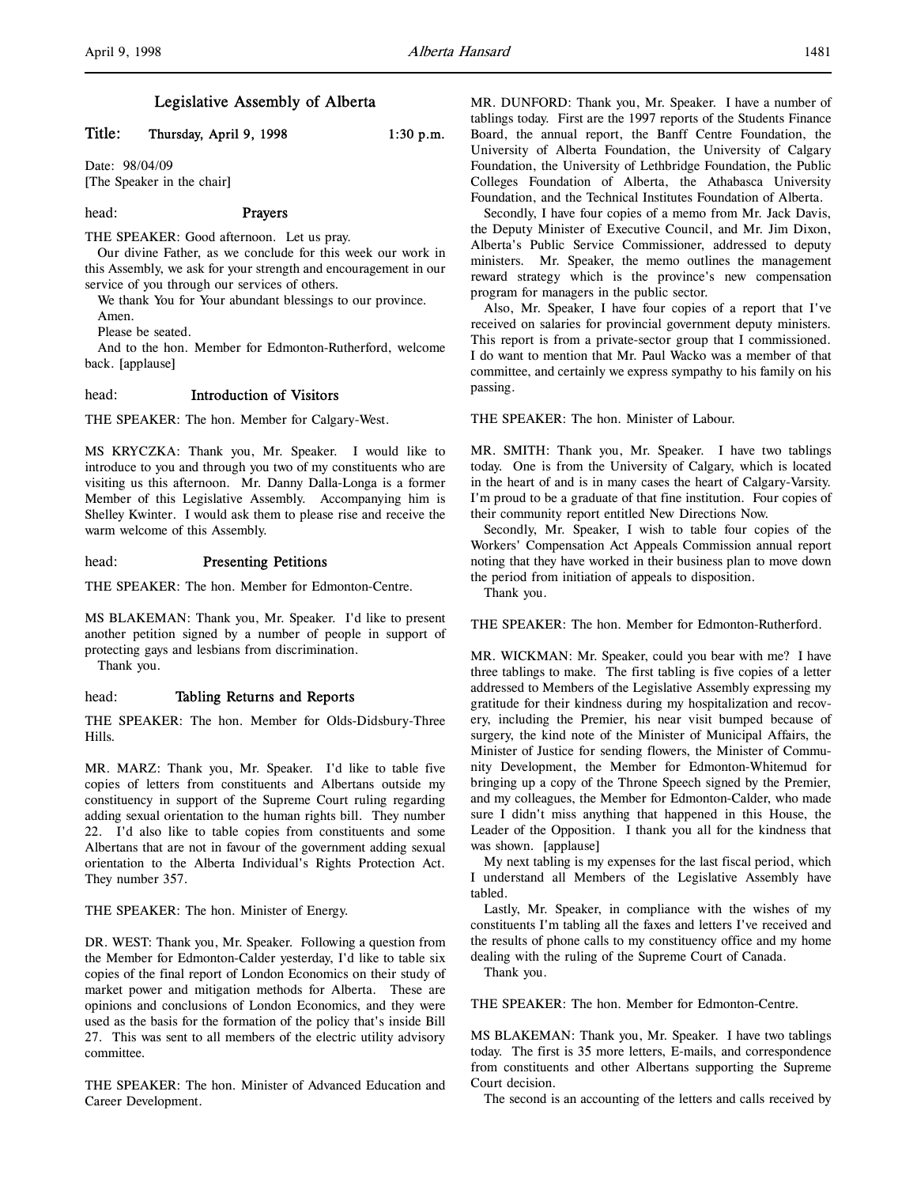# Legislative Assembly of Alberta

# Title: Thursday, April 9, 1998 1:30 p.m.

Date: 98/04/09 [The Speaker in the chair]

#### head: **Prayers**

THE SPEAKER: Good afternoon. Let us pray.

Our divine Father, as we conclude for this week our work in this Assembly, we ask for your strength and encouragement in our service of you through our services of others.

We thank You for Your abundant blessings to our province.

Amen.

Please be seated.

And to the hon. Member for Edmonton-Rutherford, welcome back. [applause]

## head: Introduction of Visitors

THE SPEAKER: The hon. Member for Calgary-West.

MS KRYCZKA: Thank you, Mr. Speaker. I would like to introduce to you and through you two of my constituents who are visiting us this afternoon. Mr. Danny Dalla-Longa is a former Member of this Legislative Assembly. Accompanying him is Shelley Kwinter. I would ask them to please rise and receive the warm welcome of this Assembly.

# head: Presenting Petitions

THE SPEAKER: The hon. Member for Edmonton-Centre.

MS BLAKEMAN: Thank you, Mr. Speaker. I'd like to present another petition signed by a number of people in support of protecting gays and lesbians from discrimination.

Thank you.

#### head: Tabling Returns and Reports

THE SPEAKER: The hon. Member for Olds-Didsbury-Three Hills.

MR. MARZ: Thank you, Mr. Speaker. I'd like to table five copies of letters from constituents and Albertans outside my constituency in support of the Supreme Court ruling regarding adding sexual orientation to the human rights bill. They number 22. I'd also like to table copies from constituents and some Albertans that are not in favour of the government adding sexual orientation to the Alberta Individual's Rights Protection Act. They number 357.

## THE SPEAKER: The hon. Minister of Energy.

DR. WEST: Thank you, Mr. Speaker. Following a question from the Member for Edmonton-Calder yesterday, I'd like to table six copies of the final report of London Economics on their study of market power and mitigation methods for Alberta. These are opinions and conclusions of London Economics, and they were used as the basis for the formation of the policy that's inside Bill 27. This was sent to all members of the electric utility advisory committee.

THE SPEAKER: The hon. Minister of Advanced Education and Career Development.

MR. DUNFORD: Thank you, Mr. Speaker. I have a number of tablings today. First are the 1997 reports of the Students Finance Board, the annual report, the Banff Centre Foundation, the University of Alberta Foundation, the University of Calgary Foundation, the University of Lethbridge Foundation, the Public Colleges Foundation of Alberta, the Athabasca University Foundation, and the Technical Institutes Foundation of Alberta.

Secondly, I have four copies of a memo from Mr. Jack Davis, the Deputy Minister of Executive Council, and Mr. Jim Dixon, Alberta's Public Service Commissioner, addressed to deputy ministers. Mr. Speaker, the memo outlines the management reward strategy which is the province's new compensation program for managers in the public sector.

Also, Mr. Speaker, I have four copies of a report that I've received on salaries for provincial government deputy ministers. This report is from a private-sector group that I commissioned. I do want to mention that Mr. Paul Wacko was a member of that committee, and certainly we express sympathy to his family on his passing.

THE SPEAKER: The hon. Minister of Labour.

MR. SMITH: Thank you, Mr. Speaker. I have two tablings today. One is from the University of Calgary, which is located in the heart of and is in many cases the heart of Calgary-Varsity. I'm proud to be a graduate of that fine institution. Four copies of their community report entitled New Directions Now.

Secondly, Mr. Speaker, I wish to table four copies of the Workers' Compensation Act Appeals Commission annual report noting that they have worked in their business plan to move down the period from initiation of appeals to disposition.

Thank you.

THE SPEAKER: The hon. Member for Edmonton-Rutherford.

MR. WICKMAN: Mr. Speaker, could you bear with me? I have three tablings to make. The first tabling is five copies of a letter addressed to Members of the Legislative Assembly expressing my gratitude for their kindness during my hospitalization and recovery, including the Premier, his near visit bumped because of surgery, the kind note of the Minister of Municipal Affairs, the Minister of Justice for sending flowers, the Minister of Community Development, the Member for Edmonton-Whitemud for bringing up a copy of the Throne Speech signed by the Premier, and my colleagues, the Member for Edmonton-Calder, who made sure I didn't miss anything that happened in this House, the Leader of the Opposition. I thank you all for the kindness that was shown. [applause]

My next tabling is my expenses for the last fiscal period, which I understand all Members of the Legislative Assembly have tabled.

Lastly, Mr. Speaker, in compliance with the wishes of my constituents I'm tabling all the faxes and letters I've received and the results of phone calls to my constituency office and my home dealing with the ruling of the Supreme Court of Canada.

Thank you.

THE SPEAKER: The hon. Member for Edmonton-Centre.

MS BLAKEMAN: Thank you, Mr. Speaker. I have two tablings today. The first is 35 more letters, E-mails, and correspondence from constituents and other Albertans supporting the Supreme Court decision.

The second is an accounting of the letters and calls received by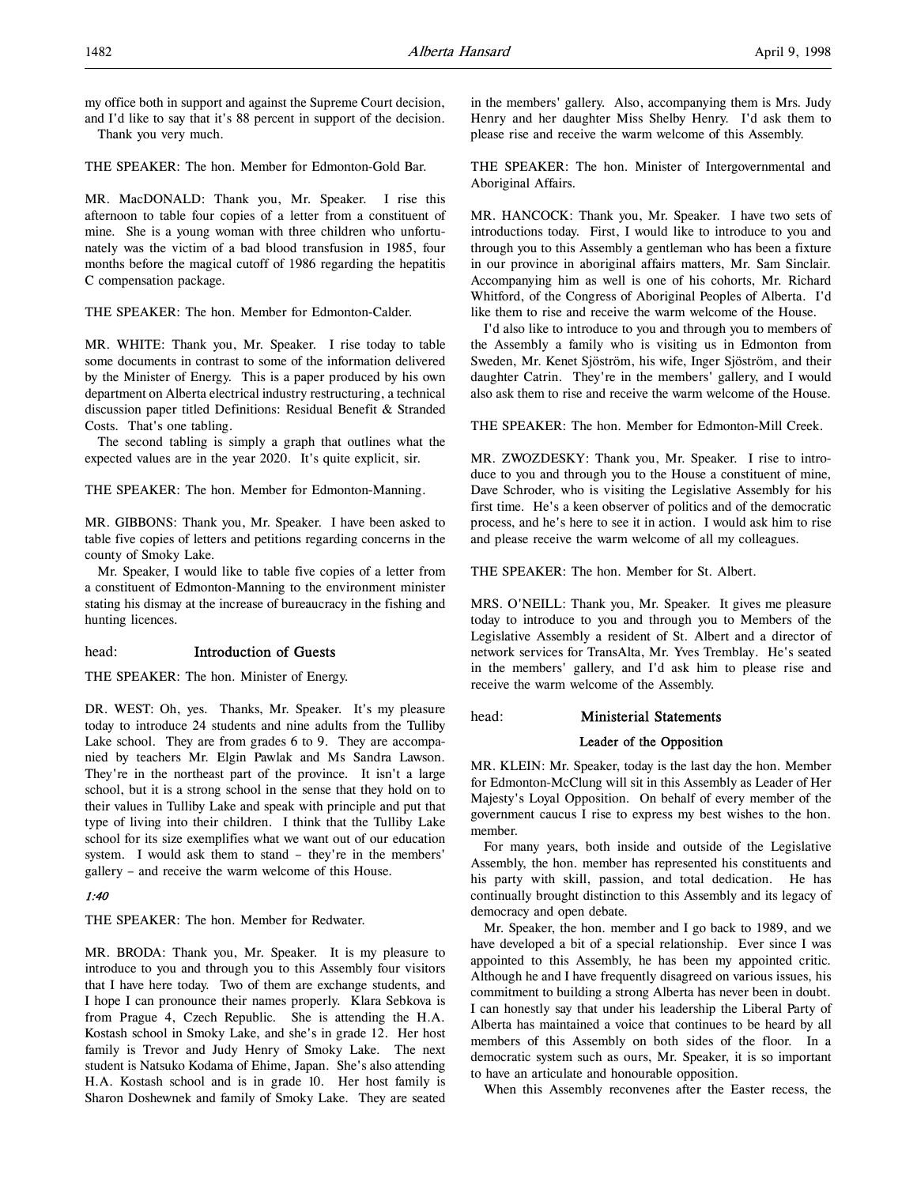my office both in support and against the Supreme Court decision, and I'd like to say that it's 88 percent in support of the decision. Thank you very much.

THE SPEAKER: The hon. Member for Edmonton-Gold Bar.

MR. MacDONALD: Thank you, Mr. Speaker. I rise this afternoon to table four copies of a letter from a constituent of mine. She is a young woman with three children who unfortunately was the victim of a bad blood transfusion in 1985, four months before the magical cutoff of 1986 regarding the hepatitis C compensation package.

THE SPEAKER: The hon. Member for Edmonton-Calder.

MR. WHITE: Thank you, Mr. Speaker. I rise today to table some documents in contrast to some of the information delivered by the Minister of Energy. This is a paper produced by his own department on Alberta electrical industry restructuring, a technical discussion paper titled Definitions: Residual Benefit & Stranded Costs. That's one tabling.

The second tabling is simply a graph that outlines what the expected values are in the year 2020. It's quite explicit, sir.

THE SPEAKER: The hon. Member for Edmonton-Manning.

MR. GIBBONS: Thank you, Mr. Speaker. I have been asked to table five copies of letters and petitions regarding concerns in the county of Smoky Lake.

Mr. Speaker, I would like to table five copies of a letter from a constituent of Edmonton-Manning to the environment minister stating his dismay at the increase of bureaucracy in the fishing and hunting licences.

#### head: Introduction of Guests

THE SPEAKER: The hon. Minister of Energy.

DR. WEST: Oh, yes. Thanks, Mr. Speaker. It's my pleasure today to introduce 24 students and nine adults from the Tulliby Lake school. They are from grades 6 to 9. They are accompanied by teachers Mr. Elgin Pawlak and Ms Sandra Lawson. They're in the northeast part of the province. It isn't a large school, but it is a strong school in the sense that they hold on to their values in Tulliby Lake and speak with principle and put that type of living into their children. I think that the Tulliby Lake school for its size exemplifies what we want out of our education system. I would ask them to stand – they're in the members' gallery – and receive the warm welcome of this House.

#### 1:40

THE SPEAKER: The hon. Member for Redwater.

MR. BRODA: Thank you, Mr. Speaker. It is my pleasure to introduce to you and through you to this Assembly four visitors that I have here today. Two of them are exchange students, and I hope I can pronounce their names properly. Klara Sebkova is from Prague 4, Czech Republic. She is attending the H.A. Kostash school in Smoky Lake, and she's in grade 12. Her host family is Trevor and Judy Henry of Smoky Lake. The next student is Natsuko Kodama of Ehime, Japan. She's also attending H.A. Kostash school and is in grade 10. Her host family is Sharon Doshewnek and family of Smoky Lake. They are seated

in the members' gallery. Also, accompanying them is Mrs. Judy Henry and her daughter Miss Shelby Henry. I'd ask them to please rise and receive the warm welcome of this Assembly.

THE SPEAKER: The hon. Minister of Intergovernmental and Aboriginal Affairs.

MR. HANCOCK: Thank you, Mr. Speaker. I have two sets of introductions today. First, I would like to introduce to you and through you to this Assembly a gentleman who has been a fixture in our province in aboriginal affairs matters, Mr. Sam Sinclair. Accompanying him as well is one of his cohorts, Mr. Richard Whitford, of the Congress of Aboriginal Peoples of Alberta. I'd like them to rise and receive the warm welcome of the House.

I'd also like to introduce to you and through you to members of the Assembly a family who is visiting us in Edmonton from Sweden, Mr. Kenet Sjöström, his wife, Inger Sjöström, and their daughter Catrin. They're in the members' gallery, and I would also ask them to rise and receive the warm welcome of the House.

THE SPEAKER: The hon. Member for Edmonton-Mill Creek.

MR. ZWOZDESKY: Thank you, Mr. Speaker. I rise to introduce to you and through you to the House a constituent of mine, Dave Schroder, who is visiting the Legislative Assembly for his first time. He's a keen observer of politics and of the democratic process, and he's here to see it in action. I would ask him to rise and please receive the warm welcome of all my colleagues.

THE SPEAKER: The hon. Member for St. Albert.

MRS. O'NEILL: Thank you, Mr. Speaker. It gives me pleasure today to introduce to you and through you to Members of the Legislative Assembly a resident of St. Albert and a director of network services for TransAlta, Mr. Yves Tremblay. He's seated in the members' gallery, and I'd ask him to please rise and receive the warm welcome of the Assembly.

head: Ministerial Statements

# Leader of the Opposition

MR. KLEIN: Mr. Speaker, today is the last day the hon. Member for Edmonton-McClung will sit in this Assembly as Leader of Her Majesty's Loyal Opposition. On behalf of every member of the government caucus I rise to express my best wishes to the hon. member.

For many years, both inside and outside of the Legislative Assembly, the hon. member has represented his constituents and his party with skill, passion, and total dedication. He has continually brought distinction to this Assembly and its legacy of democracy and open debate.

Mr. Speaker, the hon. member and I go back to 1989, and we have developed a bit of a special relationship. Ever since I was appointed to this Assembly, he has been my appointed critic. Although he and I have frequently disagreed on various issues, his commitment to building a strong Alberta has never been in doubt. I can honestly say that under his leadership the Liberal Party of Alberta has maintained a voice that continues to be heard by all members of this Assembly on both sides of the floor. In a democratic system such as ours, Mr. Speaker, it is so important to have an articulate and honourable opposition.

When this Assembly reconvenes after the Easter recess, the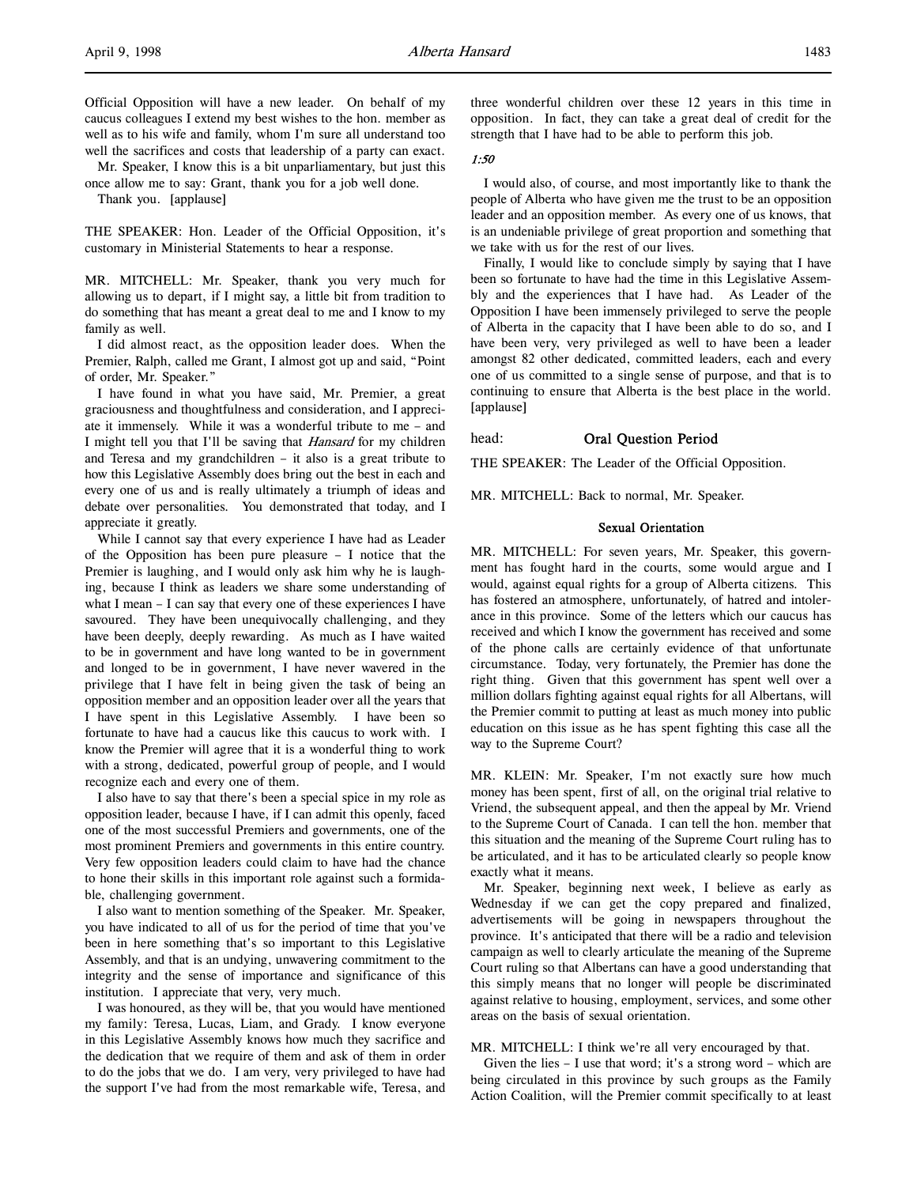Official Opposition will have a new leader. On behalf of my caucus colleagues I extend my best wishes to the hon. member as well as to his wife and family, whom I'm sure all understand too well the sacrifices and costs that leadership of a party can exact.

Mr. Speaker, I know this is a bit unparliamentary, but just this once allow me to say: Grant, thank you for a job well done.

Thank you. [applause]

THE SPEAKER: Hon. Leader of the Official Opposition, it's customary in Ministerial Statements to hear a response.

MR. MITCHELL: Mr. Speaker, thank you very much for allowing us to depart, if I might say, a little bit from tradition to do something that has meant a great deal to me and I know to my family as well.

I did almost react, as the opposition leader does. When the Premier, Ralph, called me Grant, I almost got up and said, "Point of order, Mr. Speaker."

I have found in what you have said, Mr. Premier, a great graciousness and thoughtfulness and consideration, and I appreciate it immensely. While it was a wonderful tribute to me – and I might tell you that I'll be saving that Hansard for my children and Teresa and my grandchildren – it also is a great tribute to how this Legislative Assembly does bring out the best in each and every one of us and is really ultimately a triumph of ideas and debate over personalities. You demonstrated that today, and I appreciate it greatly.

While I cannot say that every experience I have had as Leader of the Opposition has been pure pleasure – I notice that the Premier is laughing, and I would only ask him why he is laughing, because I think as leaders we share some understanding of what I mean – I can say that every one of these experiences I have savoured. They have been unequivocally challenging, and they have been deeply, deeply rewarding. As much as I have waited to be in government and have long wanted to be in government and longed to be in government, I have never wavered in the privilege that I have felt in being given the task of being an opposition member and an opposition leader over all the years that I have spent in this Legislative Assembly. I have been so fortunate to have had a caucus like this caucus to work with. I know the Premier will agree that it is a wonderful thing to work with a strong, dedicated, powerful group of people, and I would recognize each and every one of them.

I also have to say that there's been a special spice in my role as opposition leader, because I have, if I can admit this openly, faced one of the most successful Premiers and governments, one of the most prominent Premiers and governments in this entire country. Very few opposition leaders could claim to have had the chance to hone their skills in this important role against such a formidable, challenging government.

I also want to mention something of the Speaker. Mr. Speaker, you have indicated to all of us for the period of time that you've been in here something that's so important to this Legislative Assembly, and that is an undying, unwavering commitment to the integrity and the sense of importance and significance of this institution. I appreciate that very, very much.

I was honoured, as they will be, that you would have mentioned my family: Teresa, Lucas, Liam, and Grady. I know everyone in this Legislative Assembly knows how much they sacrifice and the dedication that we require of them and ask of them in order to do the jobs that we do. I am very, very privileged to have had the support I've had from the most remarkable wife, Teresa, and three wonderful children over these 12 years in this time in opposition. In fact, they can take a great deal of credit for the strength that I have had to be able to perform this job.

#### 1:50

I would also, of course, and most importantly like to thank the people of Alberta who have given me the trust to be an opposition leader and an opposition member. As every one of us knows, that is an undeniable privilege of great proportion and something that we take with us for the rest of our lives.

Finally, I would like to conclude simply by saying that I have been so fortunate to have had the time in this Legislative Assembly and the experiences that I have had. As Leader of the Opposition I have been immensely privileged to serve the people of Alberta in the capacity that I have been able to do so, and I have been very, very privileged as well to have been a leader amongst 82 other dedicated, committed leaders, each and every one of us committed to a single sense of purpose, and that is to continuing to ensure that Alberta is the best place in the world. [applause]

## head: Oral Question Period

THE SPEAKER: The Leader of the Official Opposition.

MR. MITCHELL: Back to normal, Mr. Speaker.

#### Sexual Orientation

MR. MITCHELL: For seven years, Mr. Speaker, this government has fought hard in the courts, some would argue and I would, against equal rights for a group of Alberta citizens. This has fostered an atmosphere, unfortunately, of hatred and intolerance in this province. Some of the letters which our caucus has received and which I know the government has received and some of the phone calls are certainly evidence of that unfortunate circumstance. Today, very fortunately, the Premier has done the right thing. Given that this government has spent well over a million dollars fighting against equal rights for all Albertans, will the Premier commit to putting at least as much money into public education on this issue as he has spent fighting this case all the way to the Supreme Court?

MR. KLEIN: Mr. Speaker, I'm not exactly sure how much money has been spent, first of all, on the original trial relative to Vriend, the subsequent appeal, and then the appeal by Mr. Vriend to the Supreme Court of Canada. I can tell the hon. member that this situation and the meaning of the Supreme Court ruling has to be articulated, and it has to be articulated clearly so people know exactly what it means.

Mr. Speaker, beginning next week, I believe as early as Wednesday if we can get the copy prepared and finalized, advertisements will be going in newspapers throughout the province. It's anticipated that there will be a radio and television campaign as well to clearly articulate the meaning of the Supreme Court ruling so that Albertans can have a good understanding that this simply means that no longer will people be discriminated against relative to housing, employment, services, and some other areas on the basis of sexual orientation.

#### MR. MITCHELL: I think we're all very encouraged by that.

Given the lies – I use that word; it's a strong word – which are being circulated in this province by such groups as the Family Action Coalition, will the Premier commit specifically to at least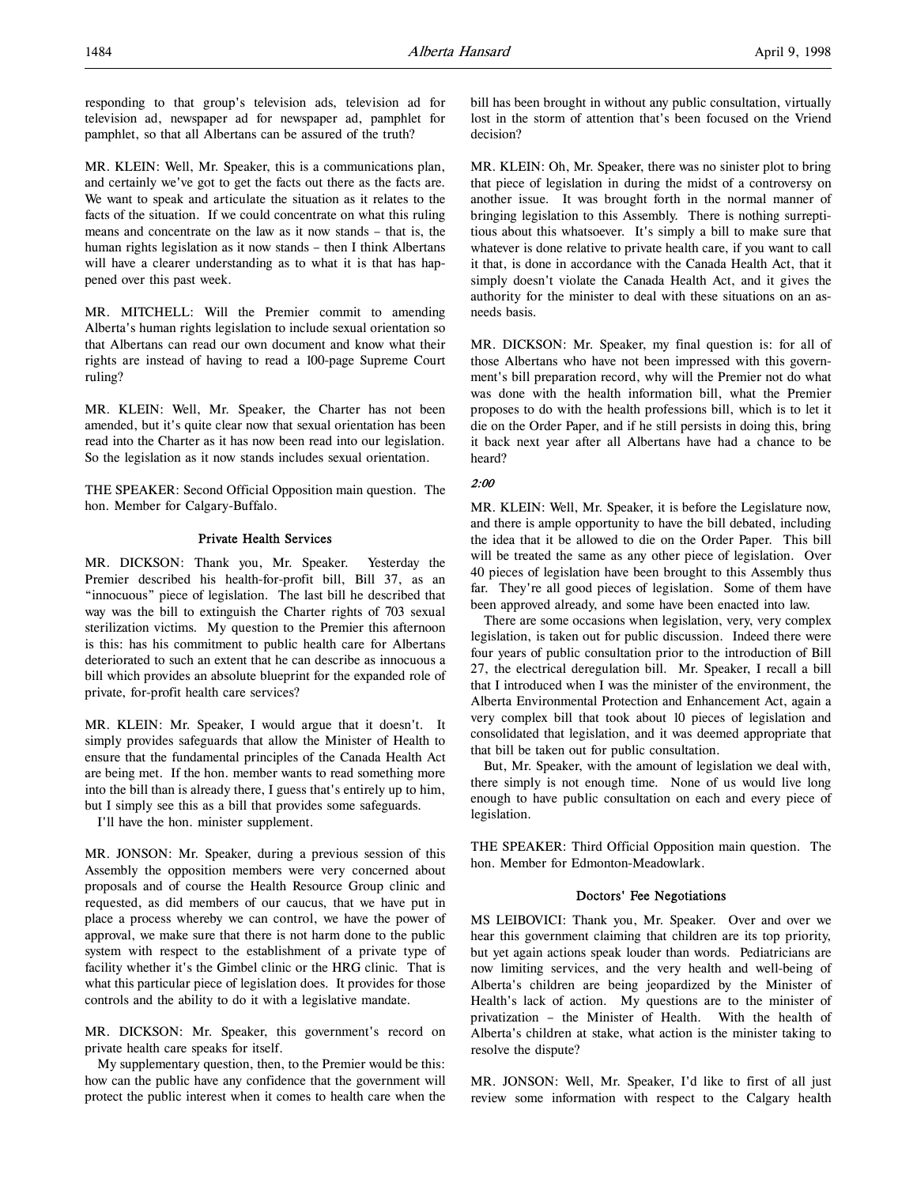MR. KLEIN: Well, Mr. Speaker, this is a communications plan, and certainly we've got to get the facts out there as the facts are. We want to speak and articulate the situation as it relates to the facts of the situation. If we could concentrate on what this ruling means and concentrate on the law as it now stands – that is, the human rights legislation as it now stands – then I think Albertans will have a clearer understanding as to what it is that has happened over this past week.

MR. MITCHELL: Will the Premier commit to amending Alberta's human rights legislation to include sexual orientation so that Albertans can read our own document and know what their rights are instead of having to read a 100-page Supreme Court ruling?

MR. KLEIN: Well, Mr. Speaker, the Charter has not been amended, but it's quite clear now that sexual orientation has been read into the Charter as it has now been read into our legislation. So the legislation as it now stands includes sexual orientation.

THE SPEAKER: Second Official Opposition main question. The hon. Member for Calgary-Buffalo.

## Private Health Services

MR. DICKSON: Thank you, Mr. Speaker. Yesterday the Premier described his health-for-profit bill, Bill 37, as an "innocuous" piece of legislation. The last bill he described that way was the bill to extinguish the Charter rights of 703 sexual sterilization victims. My question to the Premier this afternoon is this: has his commitment to public health care for Albertans deteriorated to such an extent that he can describe as innocuous a bill which provides an absolute blueprint for the expanded role of private, for-profit health care services?

MR. KLEIN: Mr. Speaker, I would argue that it doesn't. It simply provides safeguards that allow the Minister of Health to ensure that the fundamental principles of the Canada Health Act are being met. If the hon. member wants to read something more into the bill than is already there, I guess that's entirely up to him, but I simply see this as a bill that provides some safeguards.

I'll have the hon. minister supplement.

MR. JONSON: Mr. Speaker, during a previous session of this Assembly the opposition members were very concerned about proposals and of course the Health Resource Group clinic and requested, as did members of our caucus, that we have put in place a process whereby we can control, we have the power of approval, we make sure that there is not harm done to the public system with respect to the establishment of a private type of facility whether it's the Gimbel clinic or the HRG clinic. That is what this particular piece of legislation does. It provides for those controls and the ability to do it with a legislative mandate.

MR. DICKSON: Mr. Speaker, this government's record on private health care speaks for itself.

My supplementary question, then, to the Premier would be this: how can the public have any confidence that the government will protect the public interest when it comes to health care when the bill has been brought in without any public consultation, virtually lost in the storm of attention that's been focused on the Vriend decision?

MR. KLEIN: Oh, Mr. Speaker, there was no sinister plot to bring that piece of legislation in during the midst of a controversy on another issue. It was brought forth in the normal manner of bringing legislation to this Assembly. There is nothing surreptitious about this whatsoever. It's simply a bill to make sure that whatever is done relative to private health care, if you want to call it that, is done in accordance with the Canada Health Act, that it simply doesn't violate the Canada Health Act, and it gives the authority for the minister to deal with these situations on an asneeds basis.

MR. DICKSON: Mr. Speaker, my final question is: for all of those Albertans who have not been impressed with this government's bill preparation record, why will the Premier not do what was done with the health information bill, what the Premier proposes to do with the health professions bill, which is to let it die on the Order Paper, and if he still persists in doing this, bring it back next year after all Albertans have had a chance to be heard?

## 2:00

MR. KLEIN: Well, Mr. Speaker, it is before the Legislature now, and there is ample opportunity to have the bill debated, including the idea that it be allowed to die on the Order Paper. This bill will be treated the same as any other piece of legislation. Over 40 pieces of legislation have been brought to this Assembly thus far. They're all good pieces of legislation. Some of them have been approved already, and some have been enacted into law.

There are some occasions when legislation, very, very complex legislation, is taken out for public discussion. Indeed there were four years of public consultation prior to the introduction of Bill 27, the electrical deregulation bill. Mr. Speaker, I recall a bill that I introduced when I was the minister of the environment, the Alberta Environmental Protection and Enhancement Act, again a very complex bill that took about 10 pieces of legislation and consolidated that legislation, and it was deemed appropriate that that bill be taken out for public consultation.

But, Mr. Speaker, with the amount of legislation we deal with, there simply is not enough time. None of us would live long enough to have public consultation on each and every piece of legislation.

THE SPEAKER: Third Official Opposition main question. The hon. Member for Edmonton-Meadowlark.

## Doctors' Fee Negotiations

MS LEIBOVICI: Thank you, Mr. Speaker. Over and over we hear this government claiming that children are its top priority, but yet again actions speak louder than words. Pediatricians are now limiting services, and the very health and well-being of Alberta's children are being jeopardized by the Minister of Health's lack of action. My questions are to the minister of privatization – the Minister of Health. With the health of Alberta's children at stake, what action is the minister taking to resolve the dispute?

MR. JONSON: Well, Mr. Speaker, I'd like to first of all just review some information with respect to the Calgary health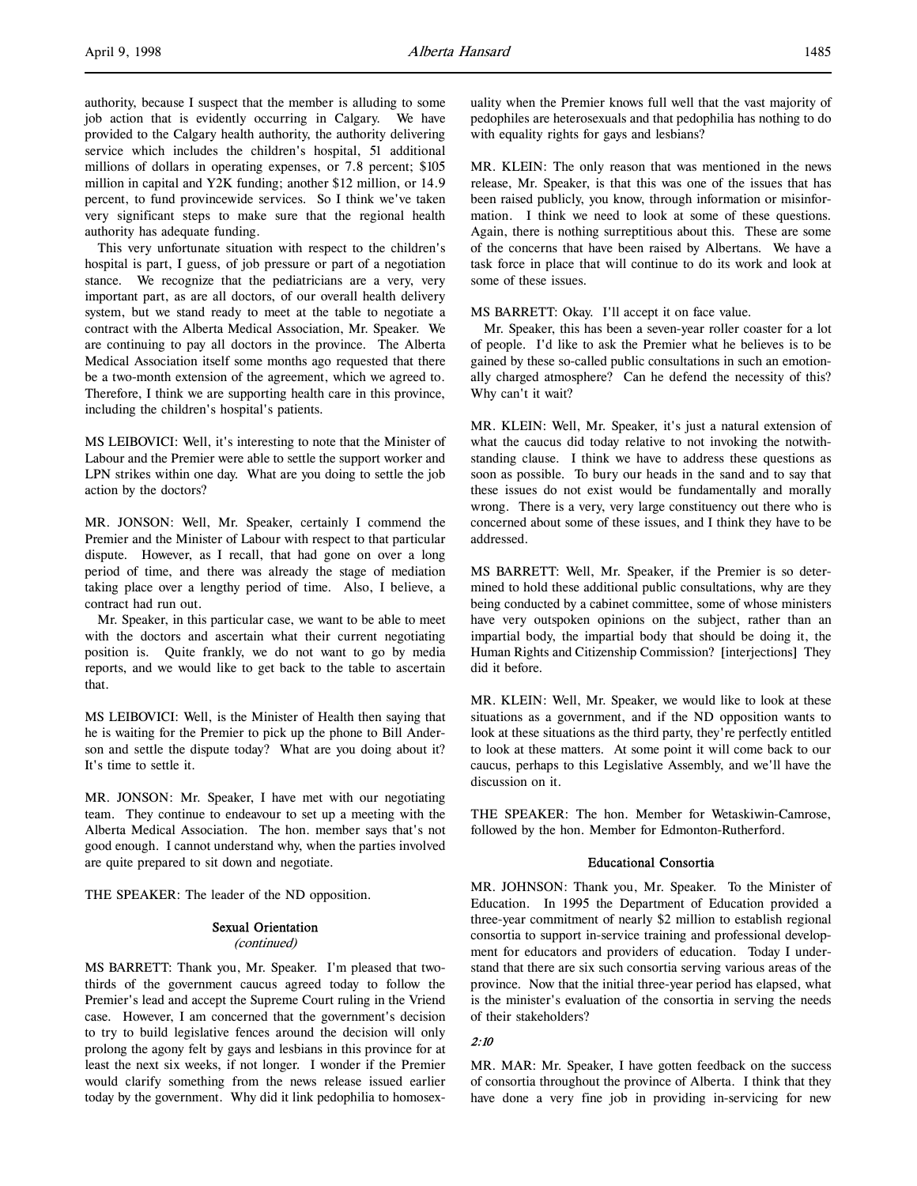authority, because I suspect that the member is alluding to some job action that is evidently occurring in Calgary. We have provided to the Calgary health authority, the authority delivering service which includes the children's hospital, 51 additional millions of dollars in operating expenses, or 7.8 percent; \$105 million in capital and Y2K funding; another \$12 million, or 14.9 percent, to fund provincewide services. So I think we've taken very significant steps to make sure that the regional health authority has adequate funding.

This very unfortunate situation with respect to the children's hospital is part, I guess, of job pressure or part of a negotiation stance. We recognize that the pediatricians are a very, very important part, as are all doctors, of our overall health delivery system, but we stand ready to meet at the table to negotiate a contract with the Alberta Medical Association, Mr. Speaker. We are continuing to pay all doctors in the province. The Alberta Medical Association itself some months ago requested that there be a two-month extension of the agreement, which we agreed to. Therefore, I think we are supporting health care in this province, including the children's hospital's patients.

MS LEIBOVICI: Well, it's interesting to note that the Minister of Labour and the Premier were able to settle the support worker and LPN strikes within one day. What are you doing to settle the job action by the doctors?

MR. JONSON: Well, Mr. Speaker, certainly I commend the Premier and the Minister of Labour with respect to that particular dispute. However, as I recall, that had gone on over a long period of time, and there was already the stage of mediation taking place over a lengthy period of time. Also, I believe, a contract had run out.

Mr. Speaker, in this particular case, we want to be able to meet with the doctors and ascertain what their current negotiating position is. Quite frankly, we do not want to go by media reports, and we would like to get back to the table to ascertain that.

MS LEIBOVICI: Well, is the Minister of Health then saying that he is waiting for the Premier to pick up the phone to Bill Anderson and settle the dispute today? What are you doing about it? It's time to settle it.

MR. JONSON: Mr. Speaker, I have met with our negotiating team. They continue to endeavour to set up a meeting with the Alberta Medical Association. The hon. member says that's not good enough. I cannot understand why, when the parties involved are quite prepared to sit down and negotiate.

THE SPEAKER: The leader of the ND opposition.

#### Sexual Orientation

#### (continued)

MS BARRETT: Thank you, Mr. Speaker. I'm pleased that twothirds of the government caucus agreed today to follow the Premier's lead and accept the Supreme Court ruling in the Vriend case. However, I am concerned that the government's decision to try to build legislative fences around the decision will only prolong the agony felt by gays and lesbians in this province for at least the next six weeks, if not longer. I wonder if the Premier would clarify something from the news release issued earlier today by the government. Why did it link pedophilia to homosexuality when the Premier knows full well that the vast majority of pedophiles are heterosexuals and that pedophilia has nothing to do with equality rights for gays and lesbians?

MR. KLEIN: The only reason that was mentioned in the news release, Mr. Speaker, is that this was one of the issues that has been raised publicly, you know, through information or misinformation. I think we need to look at some of these questions. Again, there is nothing surreptitious about this. These are some of the concerns that have been raised by Albertans. We have a task force in place that will continue to do its work and look at some of these issues.

MS BARRETT: Okay. I'll accept it on face value.

Mr. Speaker, this has been a seven-year roller coaster for a lot of people. I'd like to ask the Premier what he believes is to be gained by these so-called public consultations in such an emotionally charged atmosphere? Can he defend the necessity of this? Why can't it wait?

MR. KLEIN: Well, Mr. Speaker, it's just a natural extension of what the caucus did today relative to not invoking the notwithstanding clause. I think we have to address these questions as soon as possible. To bury our heads in the sand and to say that these issues do not exist would be fundamentally and morally wrong. There is a very, very large constituency out there who is concerned about some of these issues, and I think they have to be addressed.

MS BARRETT: Well, Mr. Speaker, if the Premier is so determined to hold these additional public consultations, why are they being conducted by a cabinet committee, some of whose ministers have very outspoken opinions on the subject, rather than an impartial body, the impartial body that should be doing it, the Human Rights and Citizenship Commission? [interjections] They did it before.

MR. KLEIN: Well, Mr. Speaker, we would like to look at these situations as a government, and if the ND opposition wants to look at these situations as the third party, they're perfectly entitled to look at these matters. At some point it will come back to our caucus, perhaps to this Legislative Assembly, and we'll have the discussion on it.

THE SPEAKER: The hon. Member for Wetaskiwin-Camrose, followed by the hon. Member for Edmonton-Rutherford.

## Educational Consortia

MR. JOHNSON: Thank you, Mr. Speaker. To the Minister of Education. In 1995 the Department of Education provided a three-year commitment of nearly \$2 million to establish regional consortia to support in-service training and professional development for educators and providers of education. Today I understand that there are six such consortia serving various areas of the province. Now that the initial three-year period has elapsed, what is the minister's evaluation of the consortia in serving the needs of their stakeholders?

#### 2:10

MR. MAR: Mr. Speaker, I have gotten feedback on the success of consortia throughout the province of Alberta. I think that they have done a very fine job in providing in-servicing for new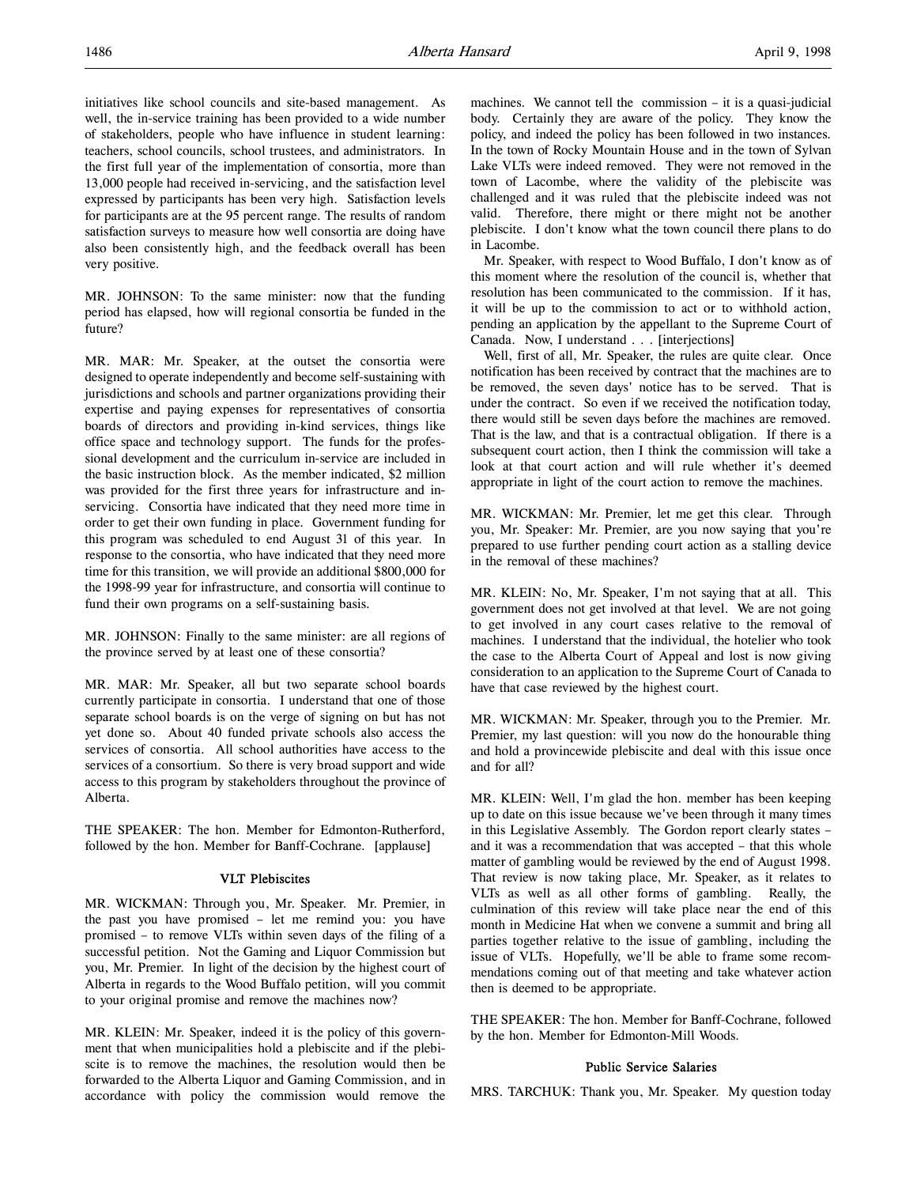initiatives like school councils and site-based management. As well, the in-service training has been provided to a wide number of stakeholders, people who have influence in student learning: teachers, school councils, school trustees, and administrators. In the first full year of the implementation of consortia, more than 13,000 people had received in-servicing, and the satisfaction level expressed by participants has been very high. Satisfaction levels for participants are at the 95 percent range. The results of random satisfaction surveys to measure how well consortia are doing have also been consistently high, and the feedback overall has been very positive.

MR. JOHNSON: To the same minister: now that the funding period has elapsed, how will regional consortia be funded in the future?

MR. MAR: Mr. Speaker, at the outset the consortia were designed to operate independently and become self-sustaining with jurisdictions and schools and partner organizations providing their expertise and paying expenses for representatives of consortia boards of directors and providing in-kind services, things like office space and technology support. The funds for the professional development and the curriculum in-service are included in the basic instruction block. As the member indicated, \$2 million was provided for the first three years for infrastructure and inservicing. Consortia have indicated that they need more time in order to get their own funding in place. Government funding for this program was scheduled to end August 31 of this year. In response to the consortia, who have indicated that they need more time for this transition, we will provide an additional \$800,000 for the 1998-99 year for infrastructure, and consortia will continue to fund their own programs on a self-sustaining basis.

MR. JOHNSON: Finally to the same minister: are all regions of the province served by at least one of these consortia?

MR. MAR: Mr. Speaker, all but two separate school boards currently participate in consortia. I understand that one of those separate school boards is on the verge of signing on but has not yet done so. About 40 funded private schools also access the services of consortia. All school authorities have access to the services of a consortium. So there is very broad support and wide access to this program by stakeholders throughout the province of Alberta.

THE SPEAKER: The hon. Member for Edmonton-Rutherford, followed by the hon. Member for Banff-Cochrane. [applause]

#### VLT Plebiscites

MR. WICKMAN: Through you, Mr. Speaker. Mr. Premier, in the past you have promised – let me remind you: you have promised – to remove VLTs within seven days of the filing of a successful petition. Not the Gaming and Liquor Commission but you, Mr. Premier. In light of the decision by the highest court of Alberta in regards to the Wood Buffalo petition, will you commit to your original promise and remove the machines now?

MR. KLEIN: Mr. Speaker, indeed it is the policy of this government that when municipalities hold a plebiscite and if the plebiscite is to remove the machines, the resolution would then be forwarded to the Alberta Liquor and Gaming Commission, and in accordance with policy the commission would remove the

machines. We cannot tell the commission – it is a quasi-judicial body. Certainly they are aware of the policy. They know the policy, and indeed the policy has been followed in two instances. In the town of Rocky Mountain House and in the town of Sylvan Lake VLTs were indeed removed. They were not removed in the town of Lacombe, where the validity of the plebiscite was challenged and it was ruled that the plebiscite indeed was not valid. Therefore, there might or there might not be another plebiscite. I don't know what the town council there plans to do in Lacombe.

Mr. Speaker, with respect to Wood Buffalo, I don't know as of this moment where the resolution of the council is, whether that resolution has been communicated to the commission. If it has, it will be up to the commission to act or to withhold action, pending an application by the appellant to the Supreme Court of Canada. Now, I understand . . . [interjections]

Well, first of all, Mr. Speaker, the rules are quite clear. Once notification has been received by contract that the machines are to be removed, the seven days' notice has to be served. That is under the contract. So even if we received the notification today, there would still be seven days before the machines are removed. That is the law, and that is a contractual obligation. If there is a subsequent court action, then I think the commission will take a look at that court action and will rule whether it's deemed appropriate in light of the court action to remove the machines.

MR. WICKMAN: Mr. Premier, let me get this clear. Through you, Mr. Speaker: Mr. Premier, are you now saying that you're prepared to use further pending court action as a stalling device in the removal of these machines?

MR. KLEIN: No, Mr. Speaker, I'm not saying that at all. This government does not get involved at that level. We are not going to get involved in any court cases relative to the removal of machines. I understand that the individual, the hotelier who took the case to the Alberta Court of Appeal and lost is now giving consideration to an application to the Supreme Court of Canada to have that case reviewed by the highest court.

MR. WICKMAN: Mr. Speaker, through you to the Premier. Mr. Premier, my last question: will you now do the honourable thing and hold a provincewide plebiscite and deal with this issue once and for all?

MR. KLEIN: Well, I'm glad the hon. member has been keeping up to date on this issue because we've been through it many times in this Legislative Assembly. The Gordon report clearly states – and it was a recommendation that was accepted – that this whole matter of gambling would be reviewed by the end of August 1998. That review is now taking place, Mr. Speaker, as it relates to VLTs as well as all other forms of gambling. Really, the culmination of this review will take place near the end of this month in Medicine Hat when we convene a summit and bring all parties together relative to the issue of gambling, including the issue of VLTs. Hopefully, we'll be able to frame some recommendations coming out of that meeting and take whatever action then is deemed to be appropriate.

THE SPEAKER: The hon. Member for Banff-Cochrane, followed by the hon. Member for Edmonton-Mill Woods.

#### Public Service Salaries

MRS. TARCHUK: Thank you, Mr. Speaker. My question today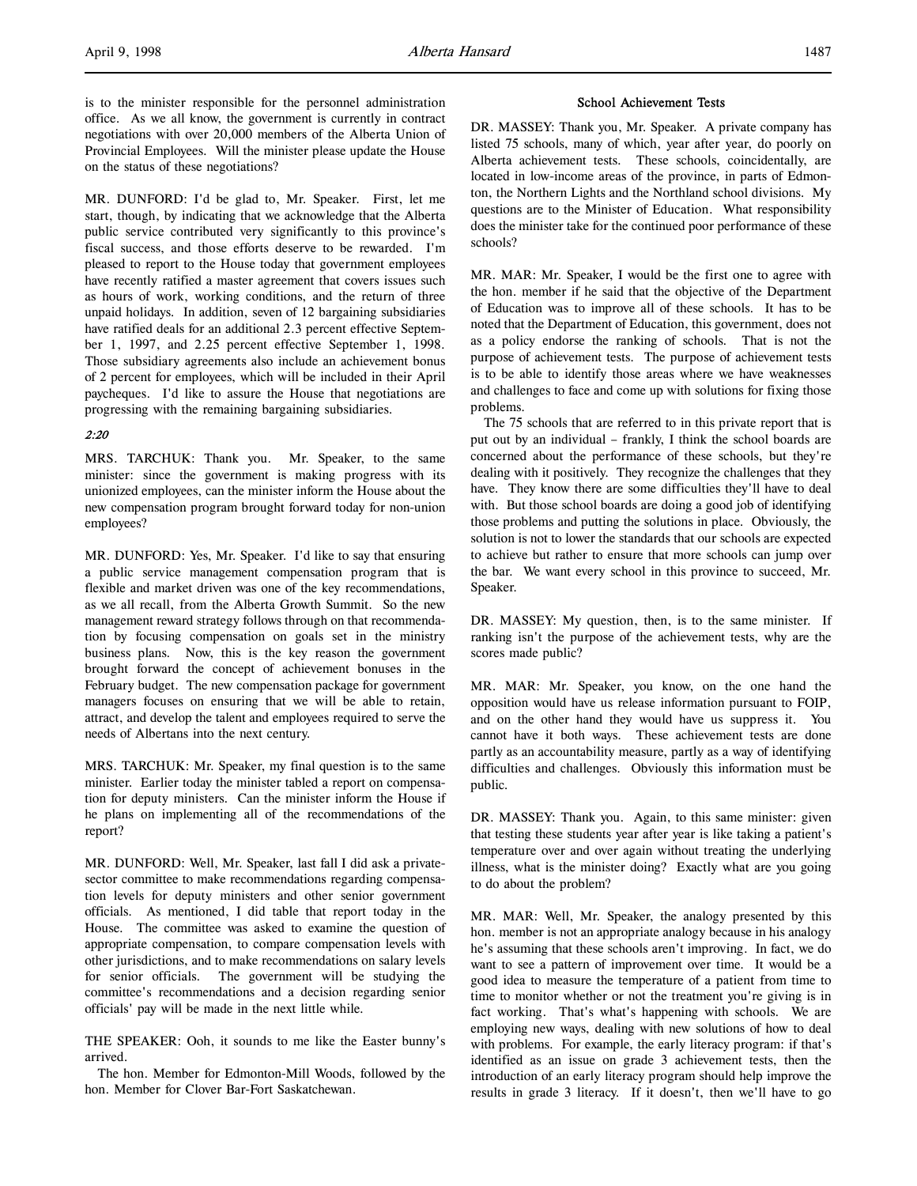is to the minister responsible for the personnel administration office. As we all know, the government is currently in contract negotiations with over 20,000 members of the Alberta Union of Provincial Employees. Will the minister please update the House on the status of these negotiations?

MR. DUNFORD: I'd be glad to, Mr. Speaker. First, let me start, though, by indicating that we acknowledge that the Alberta public service contributed very significantly to this province's fiscal success, and those efforts deserve to be rewarded. I'm pleased to report to the House today that government employees have recently ratified a master agreement that covers issues such as hours of work, working conditions, and the return of three unpaid holidays. In addition, seven of 12 bargaining subsidiaries have ratified deals for an additional 2.3 percent effective September 1, 1997, and 2.25 percent effective September 1, 1998. Those subsidiary agreements also include an achievement bonus of 2 percent for employees, which will be included in their April paycheques. I'd like to assure the House that negotiations are progressing with the remaining bargaining subsidiaries.

## 2:20

MRS. TARCHUK: Thank you. Mr. Speaker, to the same minister: since the government is making progress with its unionized employees, can the minister inform the House about the new compensation program brought forward today for non-union employees?

MR. DUNFORD: Yes, Mr. Speaker. I'd like to say that ensuring a public service management compensation program that is flexible and market driven was one of the key recommendations, as we all recall, from the Alberta Growth Summit. So the new management reward strategy follows through on that recommendation by focusing compensation on goals set in the ministry business plans. Now, this is the key reason the government brought forward the concept of achievement bonuses in the February budget. The new compensation package for government managers focuses on ensuring that we will be able to retain, attract, and develop the talent and employees required to serve the needs of Albertans into the next century.

MRS. TARCHUK: Mr. Speaker, my final question is to the same minister. Earlier today the minister tabled a report on compensation for deputy ministers. Can the minister inform the House if he plans on implementing all of the recommendations of the report?

MR. DUNFORD: Well, Mr. Speaker, last fall I did ask a privatesector committee to make recommendations regarding compensation levels for deputy ministers and other senior government officials. As mentioned, I did table that report today in the House. The committee was asked to examine the question of appropriate compensation, to compare compensation levels with other jurisdictions, and to make recommendations on salary levels for senior officials. The government will be studying the committee's recommendations and a decision regarding senior officials' pay will be made in the next little while.

THE SPEAKER: Ooh, it sounds to me like the Easter bunny's arrived.

The hon. Member for Edmonton-Mill Woods, followed by the hon. Member for Clover Bar-Fort Saskatchewan.

#### School Achievement Tests

DR. MASSEY: Thank you, Mr. Speaker. A private company has listed 75 schools, many of which, year after year, do poorly on Alberta achievement tests. These schools, coincidentally, are located in low-income areas of the province, in parts of Edmonton, the Northern Lights and the Northland school divisions. My questions are to the Minister of Education. What responsibility does the minister take for the continued poor performance of these schools?

MR. MAR: Mr. Speaker, I would be the first one to agree with the hon. member if he said that the objective of the Department of Education was to improve all of these schools. It has to be noted that the Department of Education, this government, does not as a policy endorse the ranking of schools. That is not the purpose of achievement tests. The purpose of achievement tests is to be able to identify those areas where we have weaknesses and challenges to face and come up with solutions for fixing those problems.

The 75 schools that are referred to in this private report that is put out by an individual – frankly, I think the school boards are concerned about the performance of these schools, but they're dealing with it positively. They recognize the challenges that they have. They know there are some difficulties they'll have to deal with. But those school boards are doing a good job of identifying those problems and putting the solutions in place. Obviously, the solution is not to lower the standards that our schools are expected to achieve but rather to ensure that more schools can jump over the bar. We want every school in this province to succeed, Mr. Speaker.

DR. MASSEY: My question, then, is to the same minister. If ranking isn't the purpose of the achievement tests, why are the scores made public?

MR. MAR: Mr. Speaker, you know, on the one hand the opposition would have us release information pursuant to FOIP, and on the other hand they would have us suppress it. You cannot have it both ways. These achievement tests are done partly as an accountability measure, partly as a way of identifying difficulties and challenges. Obviously this information must be public.

DR. MASSEY: Thank you. Again, to this same minister: given that testing these students year after year is like taking a patient's temperature over and over again without treating the underlying illness, what is the minister doing? Exactly what are you going to do about the problem?

MR. MAR: Well, Mr. Speaker, the analogy presented by this hon. member is not an appropriate analogy because in his analogy he's assuming that these schools aren't improving. In fact, we do want to see a pattern of improvement over time. It would be a good idea to measure the temperature of a patient from time to time to monitor whether or not the treatment you're giving is in fact working. That's what's happening with schools. We are employing new ways, dealing with new solutions of how to deal with problems. For example, the early literacy program: if that's identified as an issue on grade 3 achievement tests, then the introduction of an early literacy program should help improve the results in grade 3 literacy. If it doesn't, then we'll have to go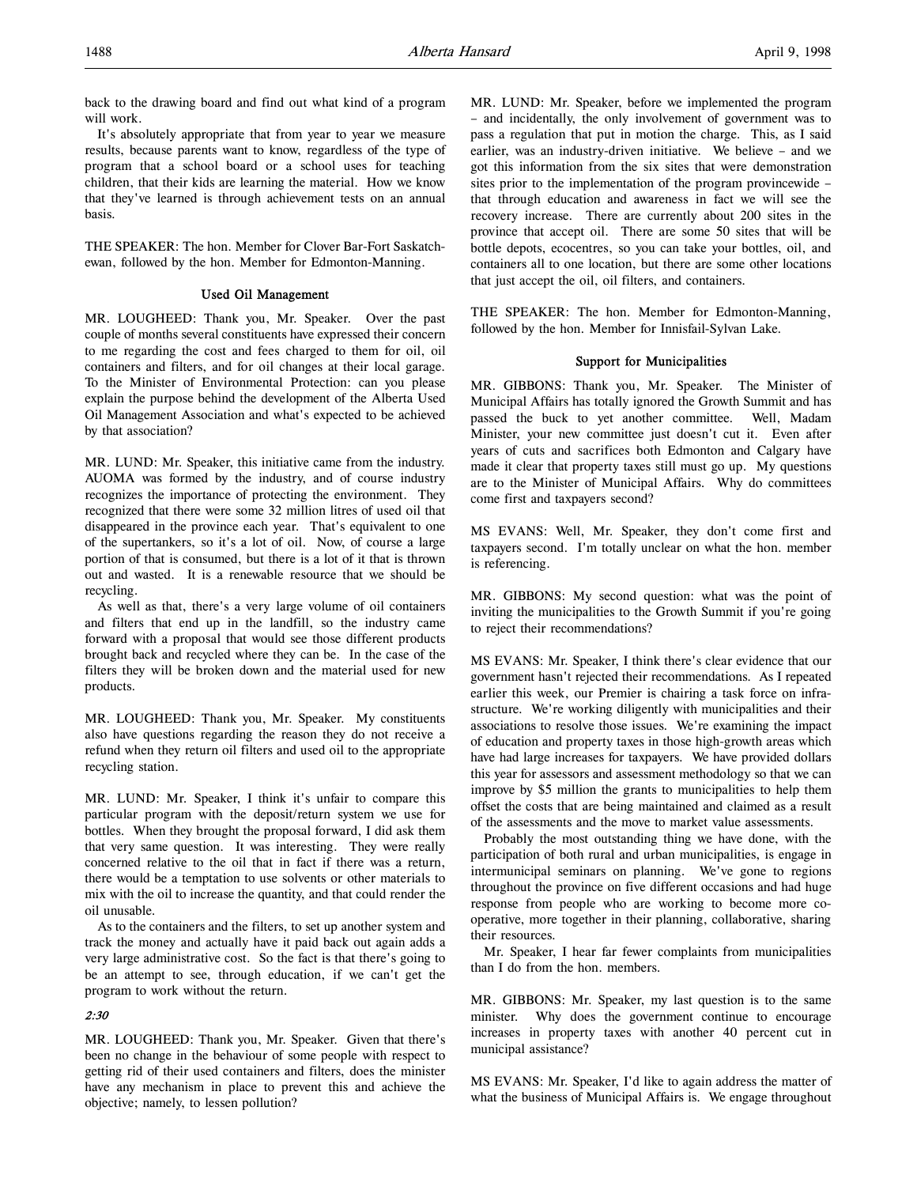back to the drawing board and find out what kind of a program will work.

It's absolutely appropriate that from year to year we measure results, because parents want to know, regardless of the type of program that a school board or a school uses for teaching children, that their kids are learning the material. How we know that they've learned is through achievement tests on an annual basis.

THE SPEAKER: The hon. Member for Clover Bar-Fort Saskatchewan, followed by the hon. Member for Edmonton-Manning.

## Used Oil Management

MR. LOUGHEED: Thank you, Mr. Speaker. Over the past couple of months several constituents have expressed their concern to me regarding the cost and fees charged to them for oil, oil containers and filters, and for oil changes at their local garage. To the Minister of Environmental Protection: can you please explain the purpose behind the development of the Alberta Used Oil Management Association and what's expected to be achieved by that association?

MR. LUND: Mr. Speaker, this initiative came from the industry. AUOMA was formed by the industry, and of course industry recognizes the importance of protecting the environment. They recognized that there were some 32 million litres of used oil that disappeared in the province each year. That's equivalent to one of the supertankers, so it's a lot of oil. Now, of course a large portion of that is consumed, but there is a lot of it that is thrown out and wasted. It is a renewable resource that we should be recycling.

As well as that, there's a very large volume of oil containers and filters that end up in the landfill, so the industry came forward with a proposal that would see those different products brought back and recycled where they can be. In the case of the filters they will be broken down and the material used for new products.

MR. LOUGHEED: Thank you, Mr. Speaker. My constituents also have questions regarding the reason they do not receive a refund when they return oil filters and used oil to the appropriate recycling station.

MR. LUND: Mr. Speaker, I think it's unfair to compare this particular program with the deposit/return system we use for bottles. When they brought the proposal forward, I did ask them that very same question. It was interesting. They were really concerned relative to the oil that in fact if there was a return, there would be a temptation to use solvents or other materials to mix with the oil to increase the quantity, and that could render the oil unusable.

As to the containers and the filters, to set up another system and track the money and actually have it paid back out again adds a very large administrative cost. So the fact is that there's going to be an attempt to see, through education, if we can't get the program to work without the return.

## 2:30

MR. LOUGHEED: Thank you, Mr. Speaker. Given that there's been no change in the behaviour of some people with respect to getting rid of their used containers and filters, does the minister have any mechanism in place to prevent this and achieve the objective; namely, to lessen pollution?

MR. LUND: Mr. Speaker, before we implemented the program – and incidentally, the only involvement of government was to pass a regulation that put in motion the charge. This, as I said earlier, was an industry-driven initiative. We believe – and we got this information from the six sites that were demonstration sites prior to the implementation of the program provincewide – that through education and awareness in fact we will see the recovery increase. There are currently about 200 sites in the province that accept oil. There are some 50 sites that will be bottle depots, ecocentres, so you can take your bottles, oil, and containers all to one location, but there are some other locations that just accept the oil, oil filters, and containers.

THE SPEAKER: The hon. Member for Edmonton-Manning, followed by the hon. Member for Innisfail-Sylvan Lake.

## Support for Municipalities

MR. GIBBONS: Thank you, Mr. Speaker. The Minister of Municipal Affairs has totally ignored the Growth Summit and has passed the buck to yet another committee. Well, Madam Minister, your new committee just doesn't cut it. Even after years of cuts and sacrifices both Edmonton and Calgary have made it clear that property taxes still must go up. My questions are to the Minister of Municipal Affairs. Why do committees come first and taxpayers second?

MS EVANS: Well, Mr. Speaker, they don't come first and taxpayers second. I'm totally unclear on what the hon. member is referencing.

MR. GIBBONS: My second question: what was the point of inviting the municipalities to the Growth Summit if you're going to reject their recommendations?

MS EVANS: Mr. Speaker, I think there's clear evidence that our government hasn't rejected their recommendations. As I repeated earlier this week, our Premier is chairing a task force on infrastructure. We're working diligently with municipalities and their associations to resolve those issues. We're examining the impact of education and property taxes in those high-growth areas which have had large increases for taxpayers. We have provided dollars this year for assessors and assessment methodology so that we can improve by \$5 million the grants to municipalities to help them offset the costs that are being maintained and claimed as a result of the assessments and the move to market value assessments.

Probably the most outstanding thing we have done, with the participation of both rural and urban municipalities, is engage in intermunicipal seminars on planning. We've gone to regions throughout the province on five different occasions and had huge response from people who are working to become more cooperative, more together in their planning, collaborative, sharing their resources.

Mr. Speaker, I hear far fewer complaints from municipalities than I do from the hon. members.

MR. GIBBONS: Mr. Speaker, my last question is to the same minister. Why does the government continue to encourage increases in property taxes with another 40 percent cut in municipal assistance?

MS EVANS: Mr. Speaker, I'd like to again address the matter of what the business of Municipal Affairs is. We engage throughout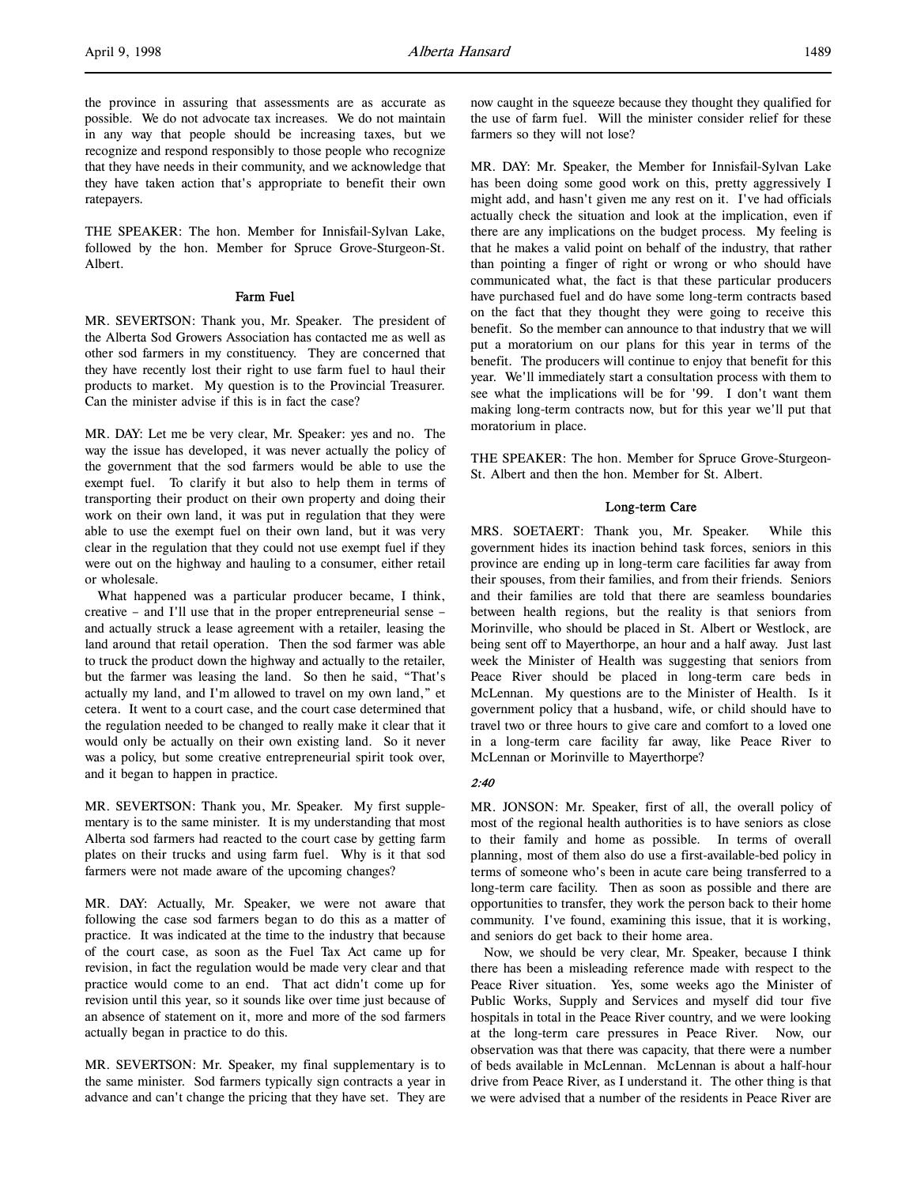the province in assuring that assessments are as accurate as possible. We do not advocate tax increases. We do not maintain in any way that people should be increasing taxes, but we recognize and respond responsibly to those people who recognize that they have needs in their community, and we acknowledge that they have taken action that's appropriate to benefit their own ratepayers.

THE SPEAKER: The hon. Member for Innisfail-Sylvan Lake, followed by the hon. Member for Spruce Grove-Sturgeon-St. Albert.

## Farm Fuel

MR. SEVERTSON: Thank you, Mr. Speaker. The president of the Alberta Sod Growers Association has contacted me as well as other sod farmers in my constituency. They are concerned that they have recently lost their right to use farm fuel to haul their products to market. My question is to the Provincial Treasurer. Can the minister advise if this is in fact the case?

MR. DAY: Let me be very clear, Mr. Speaker: yes and no. The way the issue has developed, it was never actually the policy of the government that the sod farmers would be able to use the exempt fuel. To clarify it but also to help them in terms of transporting their product on their own property and doing their work on their own land, it was put in regulation that they were able to use the exempt fuel on their own land, but it was very clear in the regulation that they could not use exempt fuel if they were out on the highway and hauling to a consumer, either retail or wholesale.

What happened was a particular producer became, I think, creative – and I'll use that in the proper entrepreneurial sense – and actually struck a lease agreement with a retailer, leasing the land around that retail operation. Then the sod farmer was able to truck the product down the highway and actually to the retailer, but the farmer was leasing the land. So then he said, "That's actually my land, and I'm allowed to travel on my own land," et cetera. It went to a court case, and the court case determined that the regulation needed to be changed to really make it clear that it would only be actually on their own existing land. So it never was a policy, but some creative entrepreneurial spirit took over, and it began to happen in practice.

MR. SEVERTSON: Thank you, Mr. Speaker. My first supplementary is to the same minister. It is my understanding that most Alberta sod farmers had reacted to the court case by getting farm plates on their trucks and using farm fuel. Why is it that sod farmers were not made aware of the upcoming changes?

MR. DAY: Actually, Mr. Speaker, we were not aware that following the case sod farmers began to do this as a matter of practice. It was indicated at the time to the industry that because of the court case, as soon as the Fuel Tax Act came up for revision, in fact the regulation would be made very clear and that practice would come to an end. That act didn't come up for revision until this year, so it sounds like over time just because of an absence of statement on it, more and more of the sod farmers actually began in practice to do this.

MR. SEVERTSON: Mr. Speaker, my final supplementary is to the same minister. Sod farmers typically sign contracts a year in advance and can't change the pricing that they have set. They are now caught in the squeeze because they thought they qualified for the use of farm fuel. Will the minister consider relief for these farmers so they will not lose?

MR. DAY: Mr. Speaker, the Member for Innisfail-Sylvan Lake has been doing some good work on this, pretty aggressively I might add, and hasn't given me any rest on it. I've had officials actually check the situation and look at the implication, even if there are any implications on the budget process. My feeling is that he makes a valid point on behalf of the industry, that rather than pointing a finger of right or wrong or who should have communicated what, the fact is that these particular producers have purchased fuel and do have some long-term contracts based on the fact that they thought they were going to receive this benefit. So the member can announce to that industry that we will put a moratorium on our plans for this year in terms of the benefit. The producers will continue to enjoy that benefit for this year. We'll immediately start a consultation process with them to see what the implications will be for '99. I don't want them making long-term contracts now, but for this year we'll put that moratorium in place.

THE SPEAKER: The hon. Member for Spruce Grove-Sturgeon-St. Albert and then the hon. Member for St. Albert.

#### Long-term Care

MRS. SOETAERT: Thank you, Mr. Speaker. While this government hides its inaction behind task forces, seniors in this province are ending up in long-term care facilities far away from their spouses, from their families, and from their friends. Seniors and their families are told that there are seamless boundaries between health regions, but the reality is that seniors from Morinville, who should be placed in St. Albert or Westlock, are being sent off to Mayerthorpe, an hour and a half away. Just last week the Minister of Health was suggesting that seniors from Peace River should be placed in long-term care beds in McLennan. My questions are to the Minister of Health. Is it government policy that a husband, wife, or child should have to travel two or three hours to give care and comfort to a loved one in a long-term care facility far away, like Peace River to McLennan or Morinville to Mayerthorpe?

## 2:40

MR. JONSON: Mr. Speaker, first of all, the overall policy of most of the regional health authorities is to have seniors as close to their family and home as possible. In terms of overall planning, most of them also do use a first-available-bed policy in terms of someone who's been in acute care being transferred to a long-term care facility. Then as soon as possible and there are opportunities to transfer, they work the person back to their home community. I've found, examining this issue, that it is working, and seniors do get back to their home area.

Now, we should be very clear, Mr. Speaker, because I think there has been a misleading reference made with respect to the Peace River situation. Yes, some weeks ago the Minister of Public Works, Supply and Services and myself did tour five hospitals in total in the Peace River country, and we were looking at the long-term care pressures in Peace River. Now, our observation was that there was capacity, that there were a number of beds available in McLennan. McLennan is about a half-hour drive from Peace River, as I understand it. The other thing is that we were advised that a number of the residents in Peace River are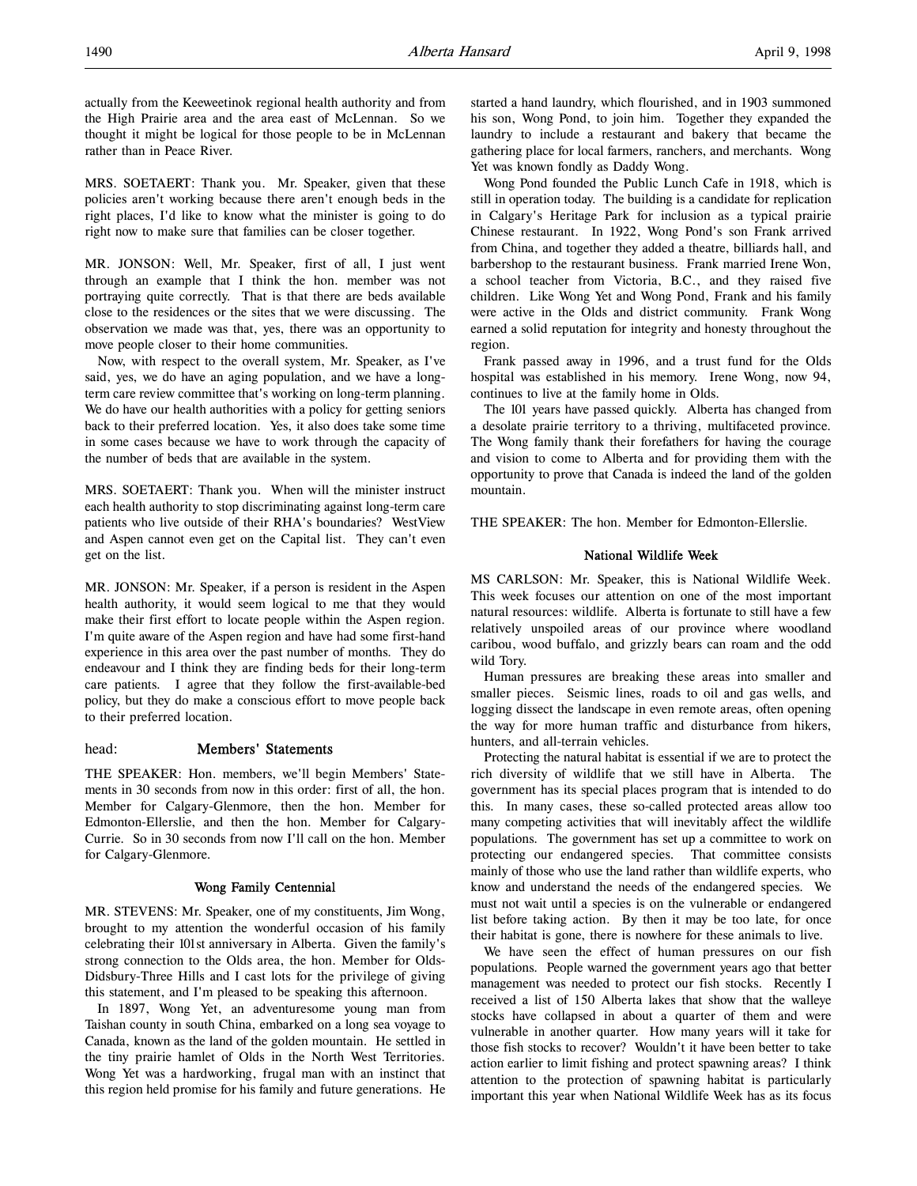MRS. SOETAERT: Thank you. Mr. Speaker, given that these policies aren't working because there aren't enough beds in the right places, I'd like to know what the minister is going to do right now to make sure that families can be closer together.

MR. JONSON: Well, Mr. Speaker, first of all, I just went through an example that I think the hon. member was not portraying quite correctly. That is that there are beds available close to the residences or the sites that we were discussing. The observation we made was that, yes, there was an opportunity to move people closer to their home communities.

Now, with respect to the overall system, Mr. Speaker, as I've said, yes, we do have an aging population, and we have a longterm care review committee that's working on long-term planning. We do have our health authorities with a policy for getting seniors back to their preferred location. Yes, it also does take some time in some cases because we have to work through the capacity of the number of beds that are available in the system.

MRS. SOETAERT: Thank you. When will the minister instruct each health authority to stop discriminating against long-term care patients who live outside of their RHA's boundaries? WestView and Aspen cannot even get on the Capital list. They can't even get on the list.

MR. JONSON: Mr. Speaker, if a person is resident in the Aspen health authority, it would seem logical to me that they would make their first effort to locate people within the Aspen region. I'm quite aware of the Aspen region and have had some first-hand experience in this area over the past number of months. They do endeavour and I think they are finding beds for their long-term care patients. I agree that they follow the first-available-bed policy, but they do make a conscious effort to move people back to their preferred location.

## head: Members' Statements

THE SPEAKER: Hon. members, we'll begin Members' Statements in 30 seconds from now in this order: first of all, the hon. Member for Calgary-Glenmore, then the hon. Member for Edmonton-Ellerslie, and then the hon. Member for Calgary-Currie. So in 30 seconds from now I'll call on the hon. Member for Calgary-Glenmore.

## Wong Family Centennial

MR. STEVENS: Mr. Speaker, one of my constituents, Jim Wong, brought to my attention the wonderful occasion of his family celebrating their 101st anniversary in Alberta. Given the family's strong connection to the Olds area, the hon. Member for Olds-Didsbury-Three Hills and I cast lots for the privilege of giving this statement, and I'm pleased to be speaking this afternoon.

In 1897, Wong Yet, an adventuresome young man from Taishan county in south China, embarked on a long sea voyage to Canada, known as the land of the golden mountain. He settled in the tiny prairie hamlet of Olds in the North West Territories. Wong Yet was a hardworking, frugal man with an instinct that this region held promise for his family and future generations. He

started a hand laundry, which flourished, and in 1903 summoned his son, Wong Pond, to join him. Together they expanded the laundry to include a restaurant and bakery that became the gathering place for local farmers, ranchers, and merchants. Wong Yet was known fondly as Daddy Wong.

Wong Pond founded the Public Lunch Cafe in 1918, which is still in operation today. The building is a candidate for replication in Calgary's Heritage Park for inclusion as a typical prairie Chinese restaurant. In 1922, Wong Pond's son Frank arrived from China, and together they added a theatre, billiards hall, and barbershop to the restaurant business. Frank married Irene Won, a school teacher from Victoria, B.C., and they raised five children. Like Wong Yet and Wong Pond, Frank and his family were active in the Olds and district community. Frank Wong earned a solid reputation for integrity and honesty throughout the region.

Frank passed away in 1996, and a trust fund for the Olds hospital was established in his memory. Irene Wong, now 94, continues to live at the family home in Olds.

The 101 years have passed quickly. Alberta has changed from a desolate prairie territory to a thriving, multifaceted province. The Wong family thank their forefathers for having the courage and vision to come to Alberta and for providing them with the opportunity to prove that Canada is indeed the land of the golden mountain.

THE SPEAKER: The hon. Member for Edmonton-Ellerslie.

## National Wildlife Week

MS CARLSON: Mr. Speaker, this is National Wildlife Week. This week focuses our attention on one of the most important natural resources: wildlife. Alberta is fortunate to still have a few relatively unspoiled areas of our province where woodland caribou, wood buffalo, and grizzly bears can roam and the odd wild Tory.

Human pressures are breaking these areas into smaller and smaller pieces. Seismic lines, roads to oil and gas wells, and logging dissect the landscape in even remote areas, often opening the way for more human traffic and disturbance from hikers, hunters, and all-terrain vehicles.

Protecting the natural habitat is essential if we are to protect the rich diversity of wildlife that we still have in Alberta. The government has its special places program that is intended to do this. In many cases, these so-called protected areas allow too many competing activities that will inevitably affect the wildlife populations. The government has set up a committee to work on protecting our endangered species. That committee consists mainly of those who use the land rather than wildlife experts, who know and understand the needs of the endangered species. We must not wait until a species is on the vulnerable or endangered list before taking action. By then it may be too late, for once their habitat is gone, there is nowhere for these animals to live.

We have seen the effect of human pressures on our fish populations. People warned the government years ago that better management was needed to protect our fish stocks. Recently I received a list of 150 Alberta lakes that show that the walleye stocks have collapsed in about a quarter of them and were vulnerable in another quarter. How many years will it take for those fish stocks to recover? Wouldn't it have been better to take action earlier to limit fishing and protect spawning areas? I think attention to the protection of spawning habitat is particularly important this year when National Wildlife Week has as its focus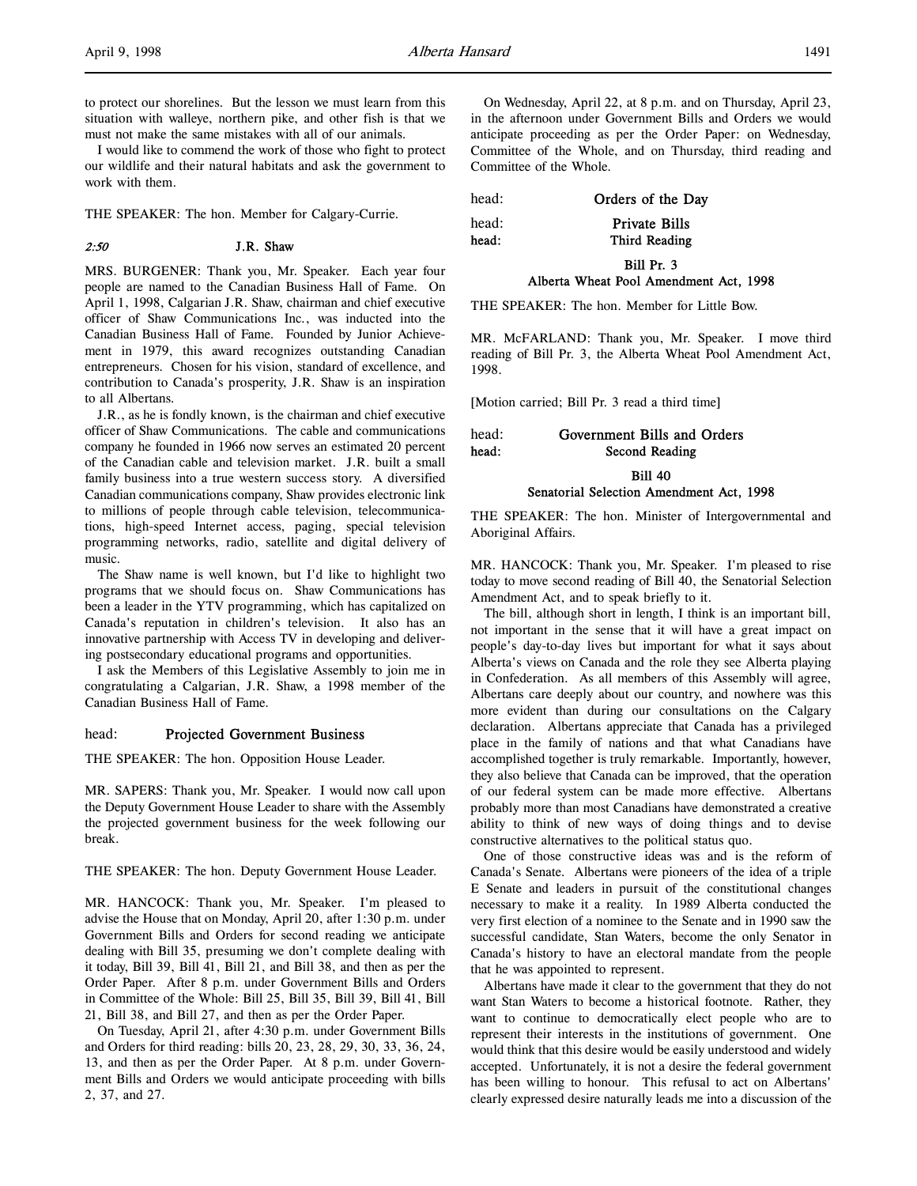to protect our shorelines. But the lesson we must learn from this situation with walleye, northern pike, and other fish is that we must not make the same mistakes with all of our animals.

I would like to commend the work of those who fight to protect our wildlife and their natural habitats and ask the government to work with them.

THE SPEAKER: The hon. Member for Calgary-Currie.

#### 2:50 J.R. Shaw

MRS. BURGENER: Thank you, Mr. Speaker. Each year four people are named to the Canadian Business Hall of Fame. On April 1, 1998, Calgarian J.R. Shaw, chairman and chief executive officer of Shaw Communications Inc., was inducted into the Canadian Business Hall of Fame. Founded by Junior Achievement in 1979, this award recognizes outstanding Canadian entrepreneurs. Chosen for his vision, standard of excellence, and contribution to Canada's prosperity, J.R. Shaw is an inspiration to all Albertans.

J.R., as he is fondly known, is the chairman and chief executive officer of Shaw Communications. The cable and communications company he founded in 1966 now serves an estimated 20 percent of the Canadian cable and television market. J.R. built a small family business into a true western success story. A diversified Canadian communications company, Shaw provides electronic link to millions of people through cable television, telecommunications, high-speed Internet access, paging, special television programming networks, radio, satellite and digital delivery of music.

The Shaw name is well known, but I'd like to highlight two programs that we should focus on. Shaw Communications has been a leader in the YTV programming, which has capitalized on Canada's reputation in children's television. It also has an innovative partnership with Access TV in developing and delivering postsecondary educational programs and opportunities.

I ask the Members of this Legislative Assembly to join me in congratulating a Calgarian, J.R. Shaw, a 1998 member of the Canadian Business Hall of Fame.

#### head: Projected Government Business

THE SPEAKER: The hon. Opposition House Leader.

MR. SAPERS: Thank you, Mr. Speaker. I would now call upon the Deputy Government House Leader to share with the Assembly the projected government business for the week following our break.

THE SPEAKER: The hon. Deputy Government House Leader.

MR. HANCOCK: Thank you, Mr. Speaker. I'm pleased to advise the House that on Monday, April 20, after 1:30 p.m. under Government Bills and Orders for second reading we anticipate dealing with Bill 35, presuming we don't complete dealing with it today, Bill 39, Bill 41, Bill 21, and Bill 38, and then as per the Order Paper. After 8 p.m. under Government Bills and Orders in Committee of the Whole: Bill 25, Bill 35, Bill 39, Bill 41, Bill 21, Bill 38, and Bill 27, and then as per the Order Paper.

On Tuesday, April 21, after 4:30 p.m. under Government Bills and Orders for third reading: bills 20, 23, 28, 29, 30, 33, 36, 24, 13, and then as per the Order Paper. At 8 p.m. under Government Bills and Orders we would anticipate proceeding with bills 2, 37, and 27.

On Wednesday, April 22, at 8 p.m. and on Thursday, April 23, in the afternoon under Government Bills and Orders we would anticipate proceeding as per the Order Paper: on Wednesday, Committee of the Whole, and on Thursday, third reading and Committee of the Whole.

head: Orders of the Day

head: Private Bills head: Third Reading

## Bill Pr. 3 Alberta Wheat Pool Amendment Act, 1998

THE SPEAKER: The hon. Member for Little Bow.

MR. McFARLAND: Thank you, Mr. Speaker. I move third reading of Bill Pr. 3, the Alberta Wheat Pool Amendment Act, 1998.

[Motion carried; Bill Pr. 3 read a third time]

# head: Government Bills and Orders head: Second Reading

Bill 40

## Senatorial Selection Amendment Act, 1998

THE SPEAKER: The hon. Minister of Intergovernmental and Aboriginal Affairs.

MR. HANCOCK: Thank you, Mr. Speaker. I'm pleased to rise today to move second reading of Bill 40, the Senatorial Selection Amendment Act, and to speak briefly to it.

The bill, although short in length, I think is an important bill, not important in the sense that it will have a great impact on people's day-to-day lives but important for what it says about Alberta's views on Canada and the role they see Alberta playing in Confederation. As all members of this Assembly will agree, Albertans care deeply about our country, and nowhere was this more evident than during our consultations on the Calgary declaration. Albertans appreciate that Canada has a privileged place in the family of nations and that what Canadians have accomplished together is truly remarkable. Importantly, however, they also believe that Canada can be improved, that the operation of our federal system can be made more effective. Albertans probably more than most Canadians have demonstrated a creative ability to think of new ways of doing things and to devise constructive alternatives to the political status quo.

One of those constructive ideas was and is the reform of Canada's Senate. Albertans were pioneers of the idea of a triple E Senate and leaders in pursuit of the constitutional changes necessary to make it a reality. In 1989 Alberta conducted the very first election of a nominee to the Senate and in 1990 saw the successful candidate, Stan Waters, become the only Senator in Canada's history to have an electoral mandate from the people that he was appointed to represent.

Albertans have made it clear to the government that they do not want Stan Waters to become a historical footnote. Rather, they want to continue to democratically elect people who are to represent their interests in the institutions of government. One would think that this desire would be easily understood and widely accepted. Unfortunately, it is not a desire the federal government has been willing to honour. This refusal to act on Albertans' clearly expressed desire naturally leads me into a discussion of the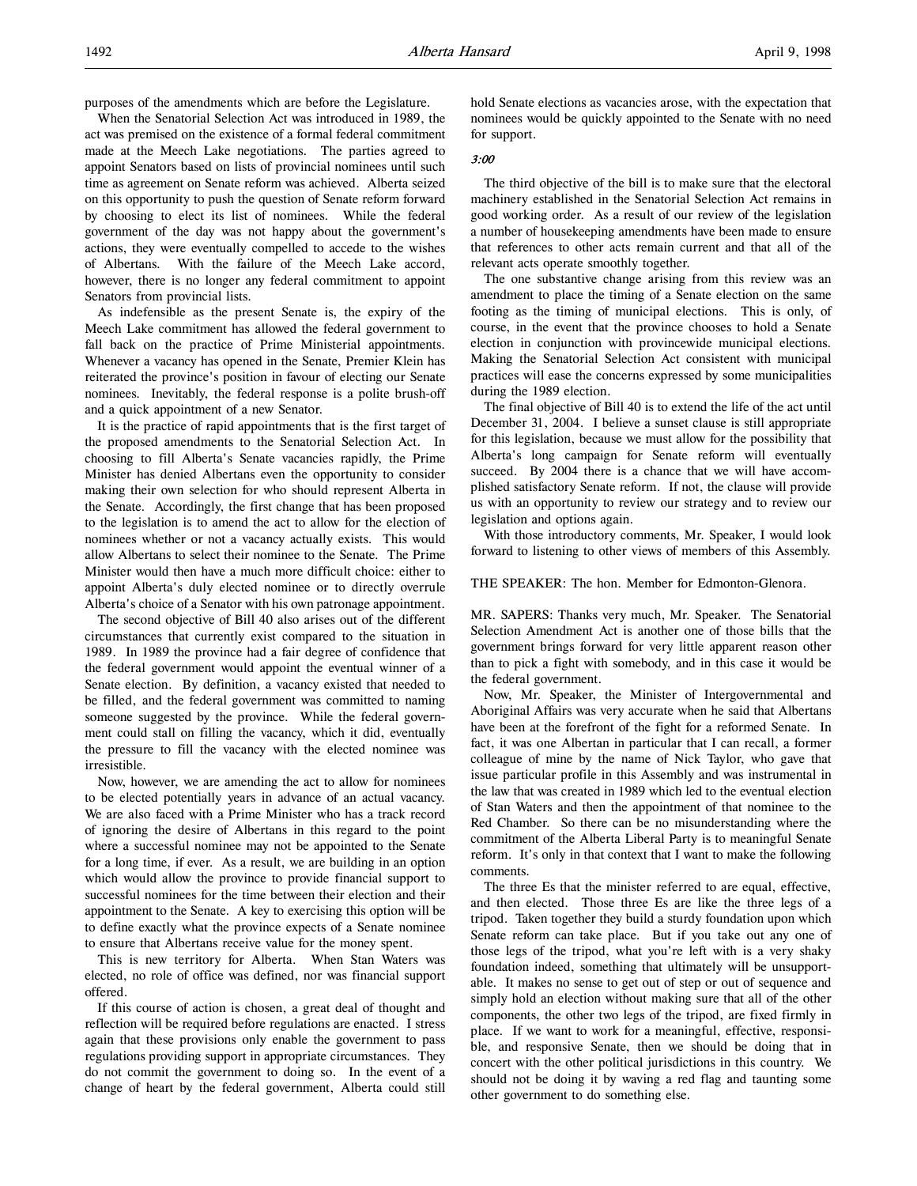purposes of the amendments which are before the Legislature.

When the Senatorial Selection Act was introduced in 1989, the act was premised on the existence of a formal federal commitment made at the Meech Lake negotiations. The parties agreed to appoint Senators based on lists of provincial nominees until such time as agreement on Senate reform was achieved. Alberta seized on this opportunity to push the question of Senate reform forward by choosing to elect its list of nominees. While the federal government of the day was not happy about the government's actions, they were eventually compelled to accede to the wishes of Albertans. With the failure of the Meech Lake accord, however, there is no longer any federal commitment to appoint Senators from provincial lists.

As indefensible as the present Senate is, the expiry of the Meech Lake commitment has allowed the federal government to fall back on the practice of Prime Ministerial appointments. Whenever a vacancy has opened in the Senate, Premier Klein has reiterated the province's position in favour of electing our Senate nominees. Inevitably, the federal response is a polite brush-off and a quick appointment of a new Senator.

It is the practice of rapid appointments that is the first target of the proposed amendments to the Senatorial Selection Act. In choosing to fill Alberta's Senate vacancies rapidly, the Prime Minister has denied Albertans even the opportunity to consider making their own selection for who should represent Alberta in the Senate. Accordingly, the first change that has been proposed to the legislation is to amend the act to allow for the election of nominees whether or not a vacancy actually exists. This would allow Albertans to select their nominee to the Senate. The Prime Minister would then have a much more difficult choice: either to appoint Alberta's duly elected nominee or to directly overrule Alberta's choice of a Senator with his own patronage appointment.

The second objective of Bill 40 also arises out of the different circumstances that currently exist compared to the situation in 1989. In 1989 the province had a fair degree of confidence that the federal government would appoint the eventual winner of a Senate election. By definition, a vacancy existed that needed to be filled, and the federal government was committed to naming someone suggested by the province. While the federal government could stall on filling the vacancy, which it did, eventually the pressure to fill the vacancy with the elected nominee was irresistible.

Now, however, we are amending the act to allow for nominees to be elected potentially years in advance of an actual vacancy. We are also faced with a Prime Minister who has a track record of ignoring the desire of Albertans in this regard to the point where a successful nominee may not be appointed to the Senate for a long time, if ever. As a result, we are building in an option which would allow the province to provide financial support to successful nominees for the time between their election and their appointment to the Senate. A key to exercising this option will be to define exactly what the province expects of a Senate nominee to ensure that Albertans receive value for the money spent.

This is new territory for Alberta. When Stan Waters was elected, no role of office was defined, nor was financial support offered.

If this course of action is chosen, a great deal of thought and reflection will be required before regulations are enacted. I stress again that these provisions only enable the government to pass regulations providing support in appropriate circumstances. They do not commit the government to doing so. In the event of a change of heart by the federal government, Alberta could still

hold Senate elections as vacancies arose, with the expectation that nominees would be quickly appointed to the Senate with no need for support.

#### 3:00

The third objective of the bill is to make sure that the electoral machinery established in the Senatorial Selection Act remains in good working order. As a result of our review of the legislation a number of housekeeping amendments have been made to ensure that references to other acts remain current and that all of the relevant acts operate smoothly together.

The one substantive change arising from this review was an amendment to place the timing of a Senate election on the same footing as the timing of municipal elections. This is only, of course, in the event that the province chooses to hold a Senate election in conjunction with provincewide municipal elections. Making the Senatorial Selection Act consistent with municipal practices will ease the concerns expressed by some municipalities during the 1989 election.

The final objective of Bill 40 is to extend the life of the act until December 31, 2004. I believe a sunset clause is still appropriate for this legislation, because we must allow for the possibility that Alberta's long campaign for Senate reform will eventually succeed. By 2004 there is a chance that we will have accomplished satisfactory Senate reform. If not, the clause will provide us with an opportunity to review our strategy and to review our legislation and options again.

With those introductory comments, Mr. Speaker, I would look forward to listening to other views of members of this Assembly.

## THE SPEAKER: The hon. Member for Edmonton-Glenora.

MR. SAPERS: Thanks very much, Mr. Speaker. The Senatorial Selection Amendment Act is another one of those bills that the government brings forward for very little apparent reason other than to pick a fight with somebody, and in this case it would be the federal government.

Now, Mr. Speaker, the Minister of Intergovernmental and Aboriginal Affairs was very accurate when he said that Albertans have been at the forefront of the fight for a reformed Senate. In fact, it was one Albertan in particular that I can recall, a former colleague of mine by the name of Nick Taylor, who gave that issue particular profile in this Assembly and was instrumental in the law that was created in 1989 which led to the eventual election of Stan Waters and then the appointment of that nominee to the Red Chamber. So there can be no misunderstanding where the commitment of the Alberta Liberal Party is to meaningful Senate reform. It's only in that context that I want to make the following comments.

The three Es that the minister referred to are equal, effective, and then elected. Those three Es are like the three legs of a tripod. Taken together they build a sturdy foundation upon which Senate reform can take place. But if you take out any one of those legs of the tripod, what you're left with is a very shaky foundation indeed, something that ultimately will be unsupportable. It makes no sense to get out of step or out of sequence and simply hold an election without making sure that all of the other components, the other two legs of the tripod, are fixed firmly in place. If we want to work for a meaningful, effective, responsible, and responsive Senate, then we should be doing that in concert with the other political jurisdictions in this country. We should not be doing it by waving a red flag and taunting some other government to do something else.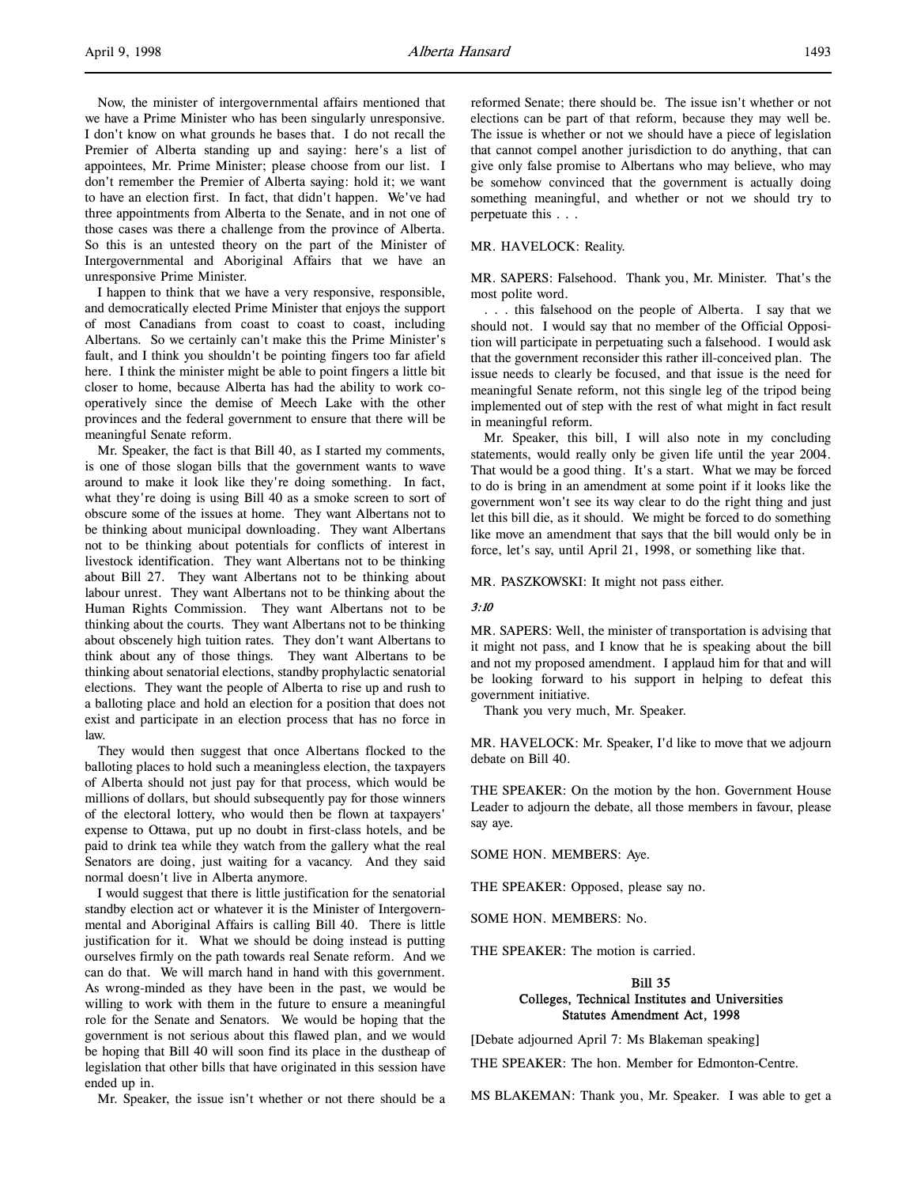Now, the minister of intergovernmental affairs mentioned that we have a Prime Minister who has been singularly unresponsive. I don't know on what grounds he bases that. I do not recall the Premier of Alberta standing up and saying: here's a list of appointees, Mr. Prime Minister; please choose from our list. I don't remember the Premier of Alberta saying: hold it; we want to have an election first. In fact, that didn't happen. We've had three appointments from Alberta to the Senate, and in not one of those cases was there a challenge from the province of Alberta. So this is an untested theory on the part of the Minister of Intergovernmental and Aboriginal Affairs that we have an unresponsive Prime Minister.

I happen to think that we have a very responsive, responsible, and democratically elected Prime Minister that enjoys the support of most Canadians from coast to coast to coast, including Albertans. So we certainly can't make this the Prime Minister's fault, and I think you shouldn't be pointing fingers too far afield here. I think the minister might be able to point fingers a little bit closer to home, because Alberta has had the ability to work cooperatively since the demise of Meech Lake with the other provinces and the federal government to ensure that there will be meaningful Senate reform.

Mr. Speaker, the fact is that Bill 40, as I started my comments, is one of those slogan bills that the government wants to wave around to make it look like they're doing something. In fact, what they're doing is using Bill 40 as a smoke screen to sort of obscure some of the issues at home. They want Albertans not to be thinking about municipal downloading. They want Albertans not to be thinking about potentials for conflicts of interest in livestock identification. They want Albertans not to be thinking about Bill 27. They want Albertans not to be thinking about labour unrest. They want Albertans not to be thinking about the Human Rights Commission. They want Albertans not to be thinking about the courts. They want Albertans not to be thinking about obscenely high tuition rates. They don't want Albertans to think about any of those things. They want Albertans to be thinking about senatorial elections, standby prophylactic senatorial elections. They want the people of Alberta to rise up and rush to a balloting place and hold an election for a position that does not exist and participate in an election process that has no force in law.

They would then suggest that once Albertans flocked to the balloting places to hold such a meaningless election, the taxpayers of Alberta should not just pay for that process, which would be millions of dollars, but should subsequently pay for those winners of the electoral lottery, who would then be flown at taxpayers' expense to Ottawa, put up no doubt in first-class hotels, and be paid to drink tea while they watch from the gallery what the real Senators are doing, just waiting for a vacancy. And they said normal doesn't live in Alberta anymore.

I would suggest that there is little justification for the senatorial standby election act or whatever it is the Minister of Intergovernmental and Aboriginal Affairs is calling Bill 40. There is little justification for it. What we should be doing instead is putting ourselves firmly on the path towards real Senate reform. And we can do that. We will march hand in hand with this government. As wrong-minded as they have been in the past, we would be willing to work with them in the future to ensure a meaningful role for the Senate and Senators. We would be hoping that the government is not serious about this flawed plan, and we would be hoping that Bill 40 will soon find its place in the dustheap of legislation that other bills that have originated in this session have ended up in.

Mr. Speaker, the issue isn't whether or not there should be a

reformed Senate; there should be. The issue isn't whether or not elections can be part of that reform, because they may well be. The issue is whether or not we should have a piece of legislation that cannot compel another jurisdiction to do anything, that can give only false promise to Albertans who may believe, who may be somehow convinced that the government is actually doing something meaningful, and whether or not we should try to perpetuate this . . .

#### MR. HAVELOCK: Reality.

MR. SAPERS: Falsehood. Thank you, Mr. Minister. That's the most polite word.

. . . this falsehood on the people of Alberta. I say that we should not. I would say that no member of the Official Opposition will participate in perpetuating such a falsehood. I would ask that the government reconsider this rather ill-conceived plan. The issue needs to clearly be focused, and that issue is the need for meaningful Senate reform, not this single leg of the tripod being implemented out of step with the rest of what might in fact result in meaningful reform.

Mr. Speaker, this bill, I will also note in my concluding statements, would really only be given life until the year 2004. That would be a good thing. It's a start. What we may be forced to do is bring in an amendment at some point if it looks like the government won't see its way clear to do the right thing and just let this bill die, as it should. We might be forced to do something like move an amendment that says that the bill would only be in force, let's say, until April 21, 1998, or something like that.

MR. PASZKOWSKI: It might not pass either.

#### 3:10

MR. SAPERS: Well, the minister of transportation is advising that it might not pass, and I know that he is speaking about the bill and not my proposed amendment. I applaud him for that and will be looking forward to his support in helping to defeat this government initiative.

Thank you very much, Mr. Speaker.

MR. HAVELOCK: Mr. Speaker, I'd like to move that we adjourn debate on Bill 40.

THE SPEAKER: On the motion by the hon. Government House Leader to adjourn the debate, all those members in favour, please say aye.

SOME HON. MEMBERS: Aye.

THE SPEAKER: Opposed, please say no.

SOME HON. MEMBERS: No.

THE SPEAKER: The motion is carried.

## Bill 35 Colleges, Technical Institutes and Universities Statutes Amendment Act, 1998

[Debate adjourned April 7: Ms Blakeman speaking]

THE SPEAKER: The hon. Member for Edmonton-Centre.

MS BLAKEMAN: Thank you, Mr. Speaker. I was able to get a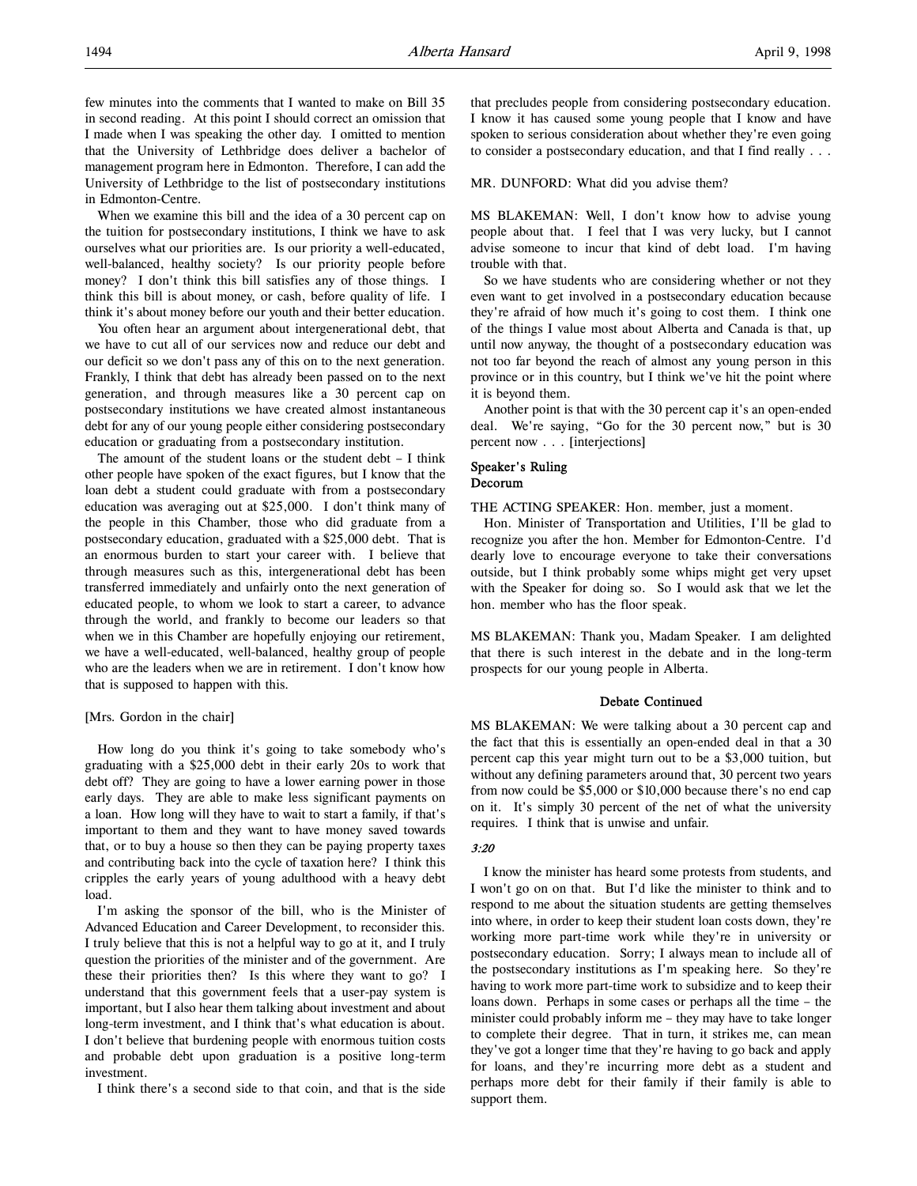When we examine this bill and the idea of a 30 percent cap on the tuition for postsecondary institutions, I think we have to ask ourselves what our priorities are. Is our priority a well-educated, well-balanced, healthy society? Is our priority people before money? I don't think this bill satisfies any of those things. I think this bill is about money, or cash, before quality of life. I think it's about money before our youth and their better education.

You often hear an argument about intergenerational debt, that we have to cut all of our services now and reduce our debt and our deficit so we don't pass any of this on to the next generation. Frankly, I think that debt has already been passed on to the next generation, and through measures like a 30 percent cap on postsecondary institutions we have created almost instantaneous debt for any of our young people either considering postsecondary education or graduating from a postsecondary institution.

The amount of the student loans or the student debt – I think other people have spoken of the exact figures, but I know that the loan debt a student could graduate with from a postsecondary education was averaging out at \$25,000. I don't think many of the people in this Chamber, those who did graduate from a postsecondary education, graduated with a \$25,000 debt. That is an enormous burden to start your career with. I believe that through measures such as this, intergenerational debt has been transferred immediately and unfairly onto the next generation of educated people, to whom we look to start a career, to advance through the world, and frankly to become our leaders so that when we in this Chamber are hopefully enjoying our retirement, we have a well-educated, well-balanced, healthy group of people who are the leaders when we are in retirement. I don't know how that is supposed to happen with this.

## [Mrs. Gordon in the chair]

How long do you think it's going to take somebody who's graduating with a \$25,000 debt in their early 20s to work that debt off? They are going to have a lower earning power in those early days. They are able to make less significant payments on a loan. How long will they have to wait to start a family, if that's important to them and they want to have money saved towards that, or to buy a house so then they can be paying property taxes and contributing back into the cycle of taxation here? I think this cripples the early years of young adulthood with a heavy debt load.

I'm asking the sponsor of the bill, who is the Minister of Advanced Education and Career Development, to reconsider this. I truly believe that this is not a helpful way to go at it, and I truly question the priorities of the minister and of the government. Are these their priorities then? Is this where they want to go? I understand that this government feels that a user-pay system is important, but I also hear them talking about investment and about long-term investment, and I think that's what education is about. I don't believe that burdening people with enormous tuition costs and probable debt upon graduation is a positive long-term investment.

I think there's a second side to that coin, and that is the side

that precludes people from considering postsecondary education. I know it has caused some young people that I know and have spoken to serious consideration about whether they're even going to consider a postsecondary education, and that I find really . . .

MR. DUNFORD: What did you advise them?

MS BLAKEMAN: Well, I don't know how to advise young people about that. I feel that I was very lucky, but I cannot advise someone to incur that kind of debt load. I'm having trouble with that.

So we have students who are considering whether or not they even want to get involved in a postsecondary education because they're afraid of how much it's going to cost them. I think one of the things I value most about Alberta and Canada is that, up until now anyway, the thought of a postsecondary education was not too far beyond the reach of almost any young person in this province or in this country, but I think we've hit the point where it is beyond them.

Another point is that with the 30 percent cap it's an open-ended deal. We're saying, "Go for the 30 percent now," but is 30 percent now . . . [interjections]

## Speaker's Ruling Decorum

THE ACTING SPEAKER: Hon. member, just a moment.

Hon. Minister of Transportation and Utilities, I'll be glad to recognize you after the hon. Member for Edmonton-Centre. I'd dearly love to encourage everyone to take their conversations outside, but I think probably some whips might get very upset with the Speaker for doing so. So I would ask that we let the hon. member who has the floor speak.

MS BLAKEMAN: Thank you, Madam Speaker. I am delighted that there is such interest in the debate and in the long-term prospects for our young people in Alberta.

## Debate Continued

MS BLAKEMAN: We were talking about a 30 percent cap and the fact that this is essentially an open-ended deal in that a 30 percent cap this year might turn out to be a \$3,000 tuition, but without any defining parameters around that, 30 percent two years from now could be \$5,000 or \$10,000 because there's no end cap on it. It's simply 30 percent of the net of what the university requires. I think that is unwise and unfair.

## 3:20

I know the minister has heard some protests from students, and I won't go on on that. But I'd like the minister to think and to respond to me about the situation students are getting themselves into where, in order to keep their student loan costs down, they're working more part-time work while they're in university or postsecondary education. Sorry; I always mean to include all of the postsecondary institutions as I'm speaking here. So they're having to work more part-time work to subsidize and to keep their loans down. Perhaps in some cases or perhaps all the time – the minister could probably inform me – they may have to take longer to complete their degree. That in turn, it strikes me, can mean they've got a longer time that they're having to go back and apply for loans, and they're incurring more debt as a student and perhaps more debt for their family if their family is able to support them.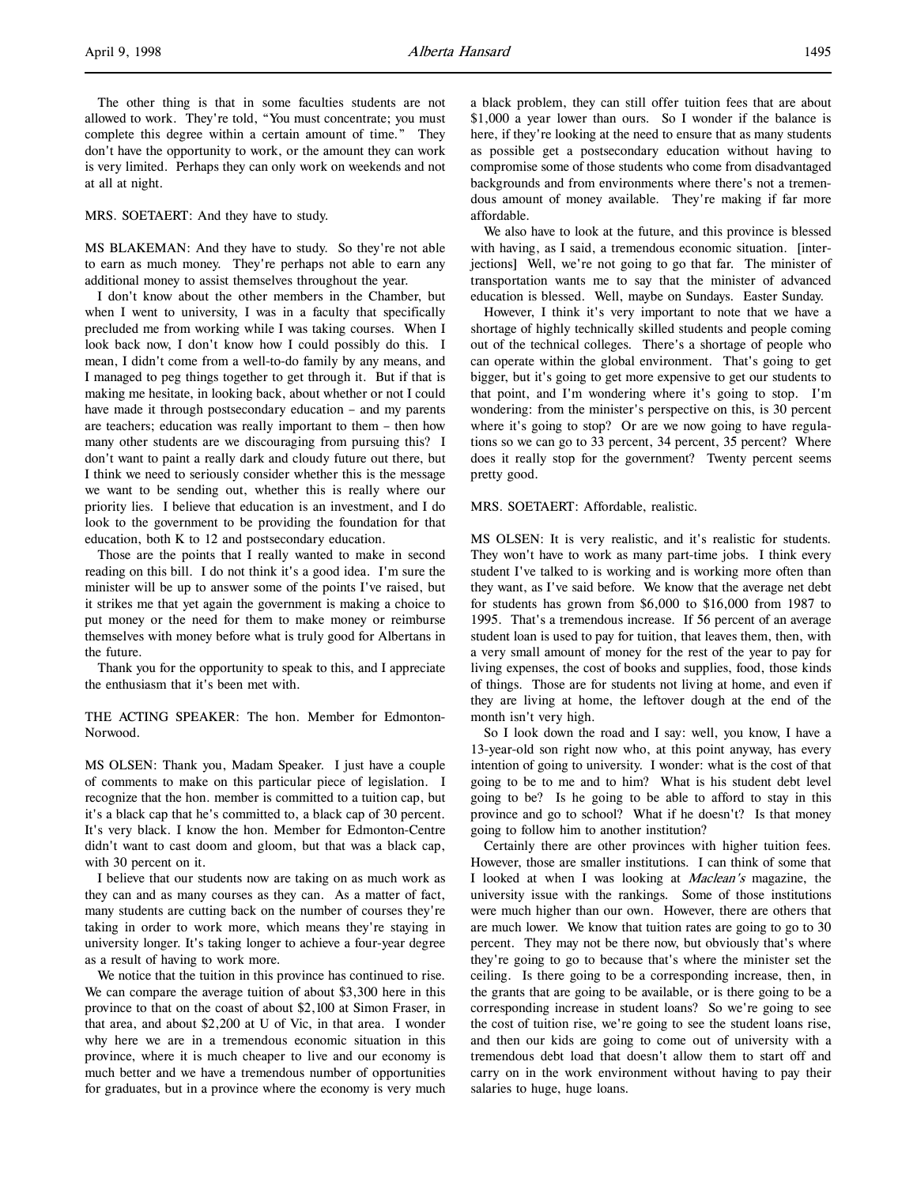The other thing is that in some faculties students are not allowed to work. They're told, "You must concentrate; you must complete this degree within a certain amount of time." They don't have the opportunity to work, or the amount they can work is very limited. Perhaps they can only work on weekends and not at all at night.

### MRS. SOETAERT: And they have to study.

MS BLAKEMAN: And they have to study. So they're not able to earn as much money. They're perhaps not able to earn any additional money to assist themselves throughout the year.

I don't know about the other members in the Chamber, but when I went to university, I was in a faculty that specifically precluded me from working while I was taking courses. When I look back now, I don't know how I could possibly do this. I mean, I didn't come from a well-to-do family by any means, and I managed to peg things together to get through it. But if that is making me hesitate, in looking back, about whether or not I could have made it through postsecondary education – and my parents are teachers; education was really important to them – then how many other students are we discouraging from pursuing this? I don't want to paint a really dark and cloudy future out there, but I think we need to seriously consider whether this is the message we want to be sending out, whether this is really where our priority lies. I believe that education is an investment, and I do look to the government to be providing the foundation for that education, both K to 12 and postsecondary education.

Those are the points that I really wanted to make in second reading on this bill. I do not think it's a good idea. I'm sure the minister will be up to answer some of the points I've raised, but it strikes me that yet again the government is making a choice to put money or the need for them to make money or reimburse themselves with money before what is truly good for Albertans in the future.

Thank you for the opportunity to speak to this, and I appreciate the enthusiasm that it's been met with.

THE ACTING SPEAKER: The hon. Member for Edmonton-Norwood.

MS OLSEN: Thank you, Madam Speaker. I just have a couple of comments to make on this particular piece of legislation. I recognize that the hon. member is committed to a tuition cap, but it's a black cap that he's committed to, a black cap of 30 percent. It's very black. I know the hon. Member for Edmonton-Centre didn't want to cast doom and gloom, but that was a black cap, with 30 percent on it.

I believe that our students now are taking on as much work as they can and as many courses as they can. As a matter of fact, many students are cutting back on the number of courses they're taking in order to work more, which means they're staying in university longer. It's taking longer to achieve a four-year degree as a result of having to work more.

We notice that the tuition in this province has continued to rise. We can compare the average tuition of about \$3,300 here in this province to that on the coast of about \$2,100 at Simon Fraser, in that area, and about \$2,200 at U of Vic, in that area. I wonder why here we are in a tremendous economic situation in this province, where it is much cheaper to live and our economy is much better and we have a tremendous number of opportunities for graduates, but in a province where the economy is very much

a black problem, they can still offer tuition fees that are about \$1,000 a year lower than ours. So I wonder if the balance is here, if they're looking at the need to ensure that as many students as possible get a postsecondary education without having to compromise some of those students who come from disadvantaged backgrounds and from environments where there's not a tremendous amount of money available. They're making if far more affordable.

We also have to look at the future, and this province is blessed with having, as I said, a tremendous economic situation. [interjections] Well, we're not going to go that far. The minister of transportation wants me to say that the minister of advanced education is blessed. Well, maybe on Sundays. Easter Sunday.

However, I think it's very important to note that we have a shortage of highly technically skilled students and people coming out of the technical colleges. There's a shortage of people who can operate within the global environment. That's going to get bigger, but it's going to get more expensive to get our students to that point, and I'm wondering where it's going to stop. I'm wondering: from the minister's perspective on this, is 30 percent where it's going to stop? Or are we now going to have regulations so we can go to 33 percent, 34 percent, 35 percent? Where does it really stop for the government? Twenty percent seems pretty good.

#### MRS. SOETAERT: Affordable, realistic.

MS OLSEN: It is very realistic, and it's realistic for students. They won't have to work as many part-time jobs. I think every student I've talked to is working and is working more often than they want, as I've said before. We know that the average net debt for students has grown from \$6,000 to \$16,000 from 1987 to 1995. That's a tremendous increase. If 56 percent of an average student loan is used to pay for tuition, that leaves them, then, with a very small amount of money for the rest of the year to pay for living expenses, the cost of books and supplies, food, those kinds of things. Those are for students not living at home, and even if they are living at home, the leftover dough at the end of the month isn't very high.

So I look down the road and I say: well, you know, I have a 13-year-old son right now who, at this point anyway, has every intention of going to university. I wonder: what is the cost of that going to be to me and to him? What is his student debt level going to be? Is he going to be able to afford to stay in this province and go to school? What if he doesn't? Is that money going to follow him to another institution?

Certainly there are other provinces with higher tuition fees. However, those are smaller institutions. I can think of some that I looked at when I was looking at Maclean's magazine, the university issue with the rankings. Some of those institutions were much higher than our own. However, there are others that are much lower. We know that tuition rates are going to go to 30 percent. They may not be there now, but obviously that's where they're going to go to because that's where the minister set the ceiling. Is there going to be a corresponding increase, then, in the grants that are going to be available, or is there going to be a corresponding increase in student loans? So we're going to see the cost of tuition rise, we're going to see the student loans rise, and then our kids are going to come out of university with a tremendous debt load that doesn't allow them to start off and carry on in the work environment without having to pay their salaries to huge, huge loans.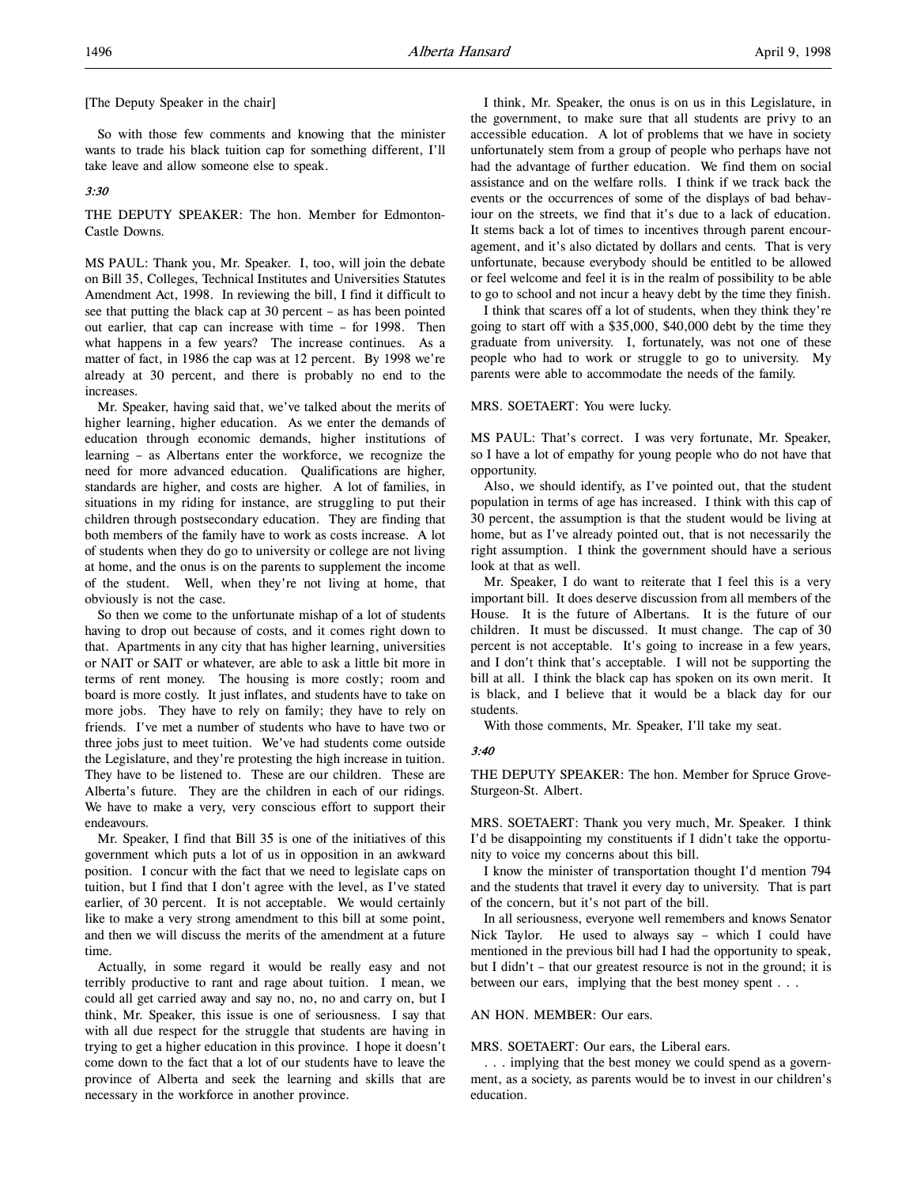[The Deputy Speaker in the chair]

So with those few comments and knowing that the minister wants to trade his black tuition cap for something different, I'll take leave and allow someone else to speak.

## 3:30

THE DEPUTY SPEAKER: The hon. Member for Edmonton-Castle Downs.

MS PAUL: Thank you, Mr. Speaker. I, too, will join the debate on Bill 35, Colleges, Technical Institutes and Universities Statutes Amendment Act, 1998. In reviewing the bill, I find it difficult to see that putting the black cap at 30 percent – as has been pointed out earlier, that cap can increase with time – for 1998. Then what happens in a few years? The increase continues. As a matter of fact, in 1986 the cap was at 12 percent. By 1998 we're already at 30 percent, and there is probably no end to the increases.

Mr. Speaker, having said that, we've talked about the merits of higher learning, higher education. As we enter the demands of education through economic demands, higher institutions of learning – as Albertans enter the workforce, we recognize the need for more advanced education. Qualifications are higher, standards are higher, and costs are higher. A lot of families, in situations in my riding for instance, are struggling to put their children through postsecondary education. They are finding that both members of the family have to work as costs increase. A lot of students when they do go to university or college are not living at home, and the onus is on the parents to supplement the income of the student. Well, when they're not living at home, that obviously is not the case.

So then we come to the unfortunate mishap of a lot of students having to drop out because of costs, and it comes right down to that. Apartments in any city that has higher learning, universities or NAIT or SAIT or whatever, are able to ask a little bit more in terms of rent money. The housing is more costly; room and board is more costly. It just inflates, and students have to take on more jobs. They have to rely on family; they have to rely on friends. I've met a number of students who have to have two or three jobs just to meet tuition. We've had students come outside the Legislature, and they're protesting the high increase in tuition. They have to be listened to. These are our children. These are Alberta's future. They are the children in each of our ridings. We have to make a very, very conscious effort to support their endeavours.

Mr. Speaker, I find that Bill 35 is one of the initiatives of this government which puts a lot of us in opposition in an awkward position. I concur with the fact that we need to legislate caps on tuition, but I find that I don't agree with the level, as I've stated earlier, of 30 percent. It is not acceptable. We would certainly like to make a very strong amendment to this bill at some point, and then we will discuss the merits of the amendment at a future time.

Actually, in some regard it would be really easy and not terribly productive to rant and rage about tuition. I mean, we could all get carried away and say no, no, no and carry on, but I think, Mr. Speaker, this issue is one of seriousness. I say that with all due respect for the struggle that students are having in trying to get a higher education in this province. I hope it doesn't come down to the fact that a lot of our students have to leave the province of Alberta and seek the learning and skills that are necessary in the workforce in another province.

I think, Mr. Speaker, the onus is on us in this Legislature, in the government, to make sure that all students are privy to an accessible education. A lot of problems that we have in society unfortunately stem from a group of people who perhaps have not had the advantage of further education. We find them on social assistance and on the welfare rolls. I think if we track back the events or the occurrences of some of the displays of bad behaviour on the streets, we find that it's due to a lack of education. It stems back a lot of times to incentives through parent encouragement, and it's also dictated by dollars and cents. That is very unfortunate, because everybody should be entitled to be allowed or feel welcome and feel it is in the realm of possibility to be able to go to school and not incur a heavy debt by the time they finish.

I think that scares off a lot of students, when they think they're going to start off with a \$35,000, \$40,000 debt by the time they graduate from university. I, fortunately, was not one of these people who had to work or struggle to go to university. My parents were able to accommodate the needs of the family.

#### MRS. SOETAERT: You were lucky.

MS PAUL: That's correct. I was very fortunate, Mr. Speaker, so I have a lot of empathy for young people who do not have that opportunity.

Also, we should identify, as I've pointed out, that the student population in terms of age has increased. I think with this cap of 30 percent, the assumption is that the student would be living at home, but as I've already pointed out, that is not necessarily the right assumption. I think the government should have a serious look at that as well.

Mr. Speaker, I do want to reiterate that I feel this is a very important bill. It does deserve discussion from all members of the House. It is the future of Albertans. It is the future of our children. It must be discussed. It must change. The cap of 30 percent is not acceptable. It's going to increase in a few years, and I don't think that's acceptable. I will not be supporting the bill at all. I think the black cap has spoken on its own merit. It is black, and I believe that it would be a black day for our students.

With those comments, Mr. Speaker, I'll take my seat.

#### 3:40

THE DEPUTY SPEAKER: The hon. Member for Spruce Grove-Sturgeon-St. Albert.

MRS. SOETAERT: Thank you very much, Mr. Speaker. I think I'd be disappointing my constituents if I didn't take the opportunity to voice my concerns about this bill.

I know the minister of transportation thought I'd mention 794 and the students that travel it every day to university. That is part of the concern, but it's not part of the bill.

In all seriousness, everyone well remembers and knows Senator Nick Taylor. He used to always say – which I could have mentioned in the previous bill had I had the opportunity to speak, but I didn't – that our greatest resource is not in the ground; it is between our ears, implying that the best money spent . . .

## AN HON. MEMBER: Our ears.

MRS. SOETAERT: Our ears, the Liberal ears.

. . . implying that the best money we could spend as a government, as a society, as parents would be to invest in our children's education.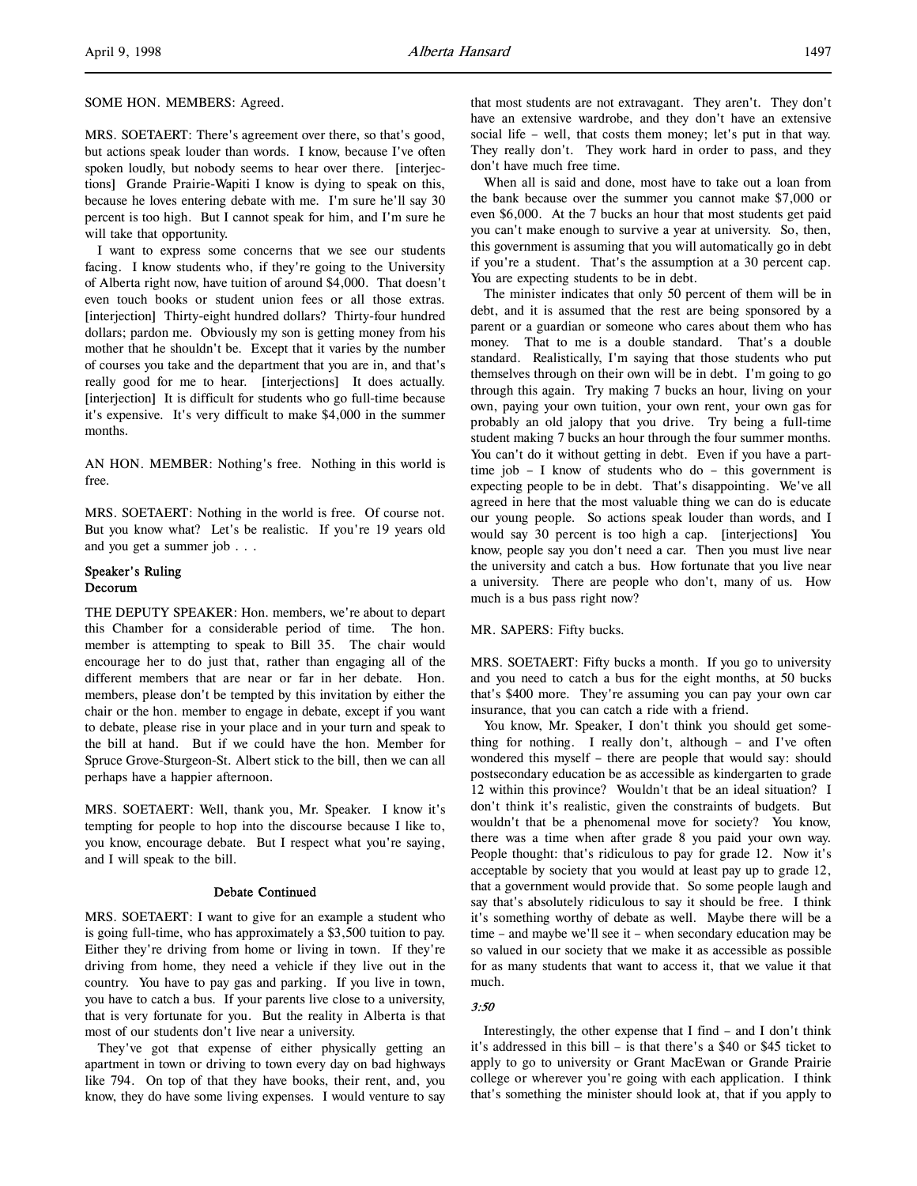SOME HON. MEMBERS: Agreed.

MRS. SOETAERT: There's agreement over there, so that's good, but actions speak louder than words. I know, because I've often spoken loudly, but nobody seems to hear over there. [interjections] Grande Prairie-Wapiti I know is dying to speak on this, because he loves entering debate with me. I'm sure he'll say 30 percent is too high. But I cannot speak for him, and I'm sure he will take that opportunity.

I want to express some concerns that we see our students facing. I know students who, if they're going to the University of Alberta right now, have tuition of around \$4,000. That doesn't even touch books or student union fees or all those extras. [interjection] Thirty-eight hundred dollars? Thirty-four hundred dollars; pardon me. Obviously my son is getting money from his mother that he shouldn't be. Except that it varies by the number of courses you take and the department that you are in, and that's really good for me to hear. [interjections] It does actually. [interjection] It is difficult for students who go full-time because it's expensive. It's very difficult to make \$4,000 in the summer months.

AN HON. MEMBER: Nothing's free. Nothing in this world is free.

MRS. SOETAERT: Nothing in the world is free. Of course not. But you know what? Let's be realistic. If you're 19 years old and you get a summer job . . .

## Speaker's Ruling Decorum

THE DEPUTY SPEAKER: Hon. members, we're about to depart this Chamber for a considerable period of time. The hon. member is attempting to speak to Bill 35. The chair would encourage her to do just that, rather than engaging all of the different members that are near or far in her debate. Hon. members, please don't be tempted by this invitation by either the chair or the hon. member to engage in debate, except if you want to debate, please rise in your place and in your turn and speak to the bill at hand. But if we could have the hon. Member for Spruce Grove-Sturgeon-St. Albert stick to the bill, then we can all perhaps have a happier afternoon.

MRS. SOETAERT: Well, thank you, Mr. Speaker. I know it's tempting for people to hop into the discourse because I like to, you know, encourage debate. But I respect what you're saying, and I will speak to the bill.

## Debate Continued

MRS. SOETAERT: I want to give for an example a student who is going full-time, who has approximately a \$3,500 tuition to pay. Either they're driving from home or living in town. If they're driving from home, they need a vehicle if they live out in the country. You have to pay gas and parking. If you live in town, you have to catch a bus. If your parents live close to a university, that is very fortunate for you. But the reality in Alberta is that most of our students don't live near a university.

They've got that expense of either physically getting an apartment in town or driving to town every day on bad highways like 794. On top of that they have books, their rent, and, you know, they do have some living expenses. I would venture to say

that most students are not extravagant. They aren't. They don't have an extensive wardrobe, and they don't have an extensive social life – well, that costs them money; let's put in that way. They really don't. They work hard in order to pass, and they don't have much free time.

When all is said and done, most have to take out a loan from the bank because over the summer you cannot make \$7,000 or even \$6,000. At the 7 bucks an hour that most students get paid you can't make enough to survive a year at university. So, then, this government is assuming that you will automatically go in debt if you're a student. That's the assumption at a 30 percent cap. You are expecting students to be in debt.

The minister indicates that only 50 percent of them will be in debt, and it is assumed that the rest are being sponsored by a parent or a guardian or someone who cares about them who has money. That to me is a double standard. That's a double standard. Realistically, I'm saying that those students who put themselves through on their own will be in debt. I'm going to go through this again. Try making 7 bucks an hour, living on your own, paying your own tuition, your own rent, your own gas for probably an old jalopy that you drive. Try being a full-time student making 7 bucks an hour through the four summer months. You can't do it without getting in debt. Even if you have a parttime job – I know of students who do – this government is expecting people to be in debt. That's disappointing. We've all agreed in here that the most valuable thing we can do is educate our young people. So actions speak louder than words, and I would say 30 percent is too high a cap. [interjections] You know, people say you don't need a car. Then you must live near the university and catch a bus. How fortunate that you live near a university. There are people who don't, many of us. How much is a bus pass right now?

#### MR. SAPERS: Fifty bucks.

MRS. SOETAERT: Fifty bucks a month. If you go to university and you need to catch a bus for the eight months, at 50 bucks that's \$400 more. They're assuming you can pay your own car insurance, that you can catch a ride with a friend.

You know, Mr. Speaker, I don't think you should get something for nothing. I really don't, although – and I've often wondered this myself – there are people that would say: should postsecondary education be as accessible as kindergarten to grade 12 within this province? Wouldn't that be an ideal situation? I don't think it's realistic, given the constraints of budgets. But wouldn't that be a phenomenal move for society? You know, there was a time when after grade 8 you paid your own way. People thought: that's ridiculous to pay for grade 12. Now it's acceptable by society that you would at least pay up to grade 12, that a government would provide that. So some people laugh and say that's absolutely ridiculous to say it should be free. I think it's something worthy of debate as well. Maybe there will be a time – and maybe we'll see it – when secondary education may be so valued in our society that we make it as accessible as possible for as many students that want to access it, that we value it that much.

## 3:50

Interestingly, the other expense that I find – and I don't think it's addressed in this bill – is that there's a \$40 or \$45 ticket to apply to go to university or Grant MacEwan or Grande Prairie college or wherever you're going with each application. I think that's something the minister should look at, that if you apply to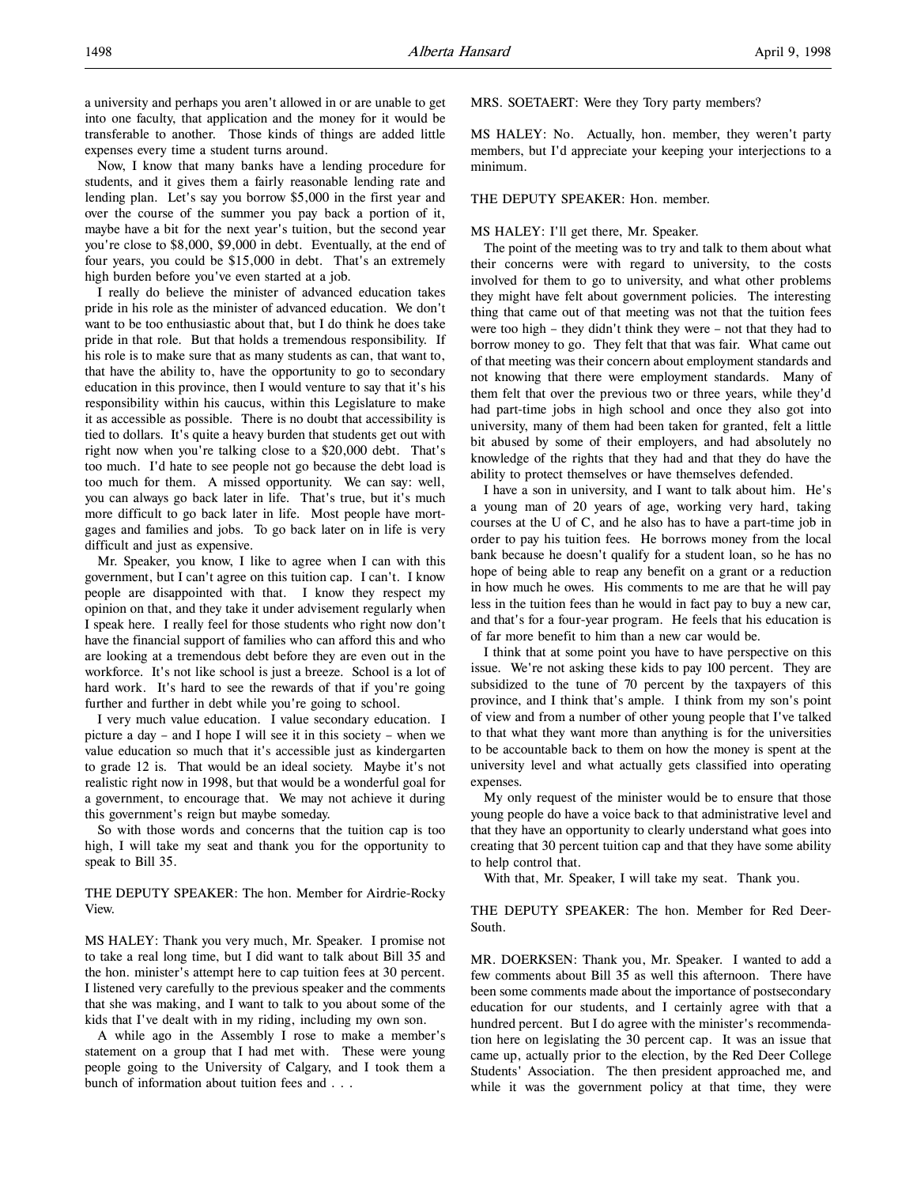a university and perhaps you aren't allowed in or are unable to get into one faculty, that application and the money for it would be transferable to another. Those kinds of things are added little expenses every time a student turns around.

Now, I know that many banks have a lending procedure for students, and it gives them a fairly reasonable lending rate and lending plan. Let's say you borrow \$5,000 in the first year and over the course of the summer you pay back a portion of it, maybe have a bit for the next year's tuition, but the second year you're close to \$8,000, \$9,000 in debt. Eventually, at the end of four years, you could be \$15,000 in debt. That's an extremely high burden before you've even started at a job.

I really do believe the minister of advanced education takes pride in his role as the minister of advanced education. We don't want to be too enthusiastic about that, but I do think he does take pride in that role. But that holds a tremendous responsibility. If his role is to make sure that as many students as can, that want to, that have the ability to, have the opportunity to go to secondary education in this province, then I would venture to say that it's his responsibility within his caucus, within this Legislature to make it as accessible as possible. There is no doubt that accessibility is tied to dollars. It's quite a heavy burden that students get out with right now when you're talking close to a \$20,000 debt. That's too much. I'd hate to see people not go because the debt load is too much for them. A missed opportunity. We can say: well, you can always go back later in life. That's true, but it's much more difficult to go back later in life. Most people have mortgages and families and jobs. To go back later on in life is very difficult and just as expensive.

Mr. Speaker, you know, I like to agree when I can with this government, but I can't agree on this tuition cap. I can't. I know people are disappointed with that. I know they respect my opinion on that, and they take it under advisement regularly when I speak here. I really feel for those students who right now don't have the financial support of families who can afford this and who are looking at a tremendous debt before they are even out in the workforce. It's not like school is just a breeze. School is a lot of hard work. It's hard to see the rewards of that if you're going further and further in debt while you're going to school.

I very much value education. I value secondary education. I picture a day – and I hope I will see it in this society – when we value education so much that it's accessible just as kindergarten to grade 12 is. That would be an ideal society. Maybe it's not realistic right now in 1998, but that would be a wonderful goal for a government, to encourage that. We may not achieve it during this government's reign but maybe someday.

So with those words and concerns that the tuition cap is too high, I will take my seat and thank you for the opportunity to speak to Bill 35.

THE DEPUTY SPEAKER: The hon. Member for Airdrie-Rocky View.

MS HALEY: Thank you very much, Mr. Speaker. I promise not to take a real long time, but I did want to talk about Bill 35 and the hon. minister's attempt here to cap tuition fees at 30 percent. I listened very carefully to the previous speaker and the comments that she was making, and I want to talk to you about some of the kids that I've dealt with in my riding, including my own son.

A while ago in the Assembly I rose to make a member's statement on a group that I had met with. These were young people going to the University of Calgary, and I took them a bunch of information about tuition fees and . . .

MRS. SOETAERT: Were they Tory party members?

MS HALEY: No. Actually, hon. member, they weren't party members, but I'd appreciate your keeping your interjections to a minimum.

#### THE DEPUTY SPEAKER: Hon. member.

#### MS HALEY: I'll get there, Mr. Speaker.

The point of the meeting was to try and talk to them about what their concerns were with regard to university, to the costs involved for them to go to university, and what other problems they might have felt about government policies. The interesting thing that came out of that meeting was not that the tuition fees were too high – they didn't think they were – not that they had to borrow money to go. They felt that that was fair. What came out of that meeting was their concern about employment standards and not knowing that there were employment standards. Many of them felt that over the previous two or three years, while they'd had part-time jobs in high school and once they also got into university, many of them had been taken for granted, felt a little bit abused by some of their employers, and had absolutely no knowledge of the rights that they had and that they do have the ability to protect themselves or have themselves defended.

I have a son in university, and I want to talk about him. He's a young man of 20 years of age, working very hard, taking courses at the U of C, and he also has to have a part-time job in order to pay his tuition fees. He borrows money from the local bank because he doesn't qualify for a student loan, so he has no hope of being able to reap any benefit on a grant or a reduction in how much he owes. His comments to me are that he will pay less in the tuition fees than he would in fact pay to buy a new car, and that's for a four-year program. He feels that his education is of far more benefit to him than a new car would be.

I think that at some point you have to have perspective on this issue. We're not asking these kids to pay 100 percent. They are subsidized to the tune of 70 percent by the taxpayers of this province, and I think that's ample. I think from my son's point of view and from a number of other young people that I've talked to that what they want more than anything is for the universities to be accountable back to them on how the money is spent at the university level and what actually gets classified into operating expenses.

My only request of the minister would be to ensure that those young people do have a voice back to that administrative level and that they have an opportunity to clearly understand what goes into creating that 30 percent tuition cap and that they have some ability to help control that.

With that, Mr. Speaker, I will take my seat. Thank you.

THE DEPUTY SPEAKER: The hon. Member for Red Deer-South.

MR. DOERKSEN: Thank you, Mr. Speaker. I wanted to add a few comments about Bill 35 as well this afternoon. There have been some comments made about the importance of postsecondary education for our students, and I certainly agree with that a hundred percent. But I do agree with the minister's recommendation here on legislating the 30 percent cap. It was an issue that came up, actually prior to the election, by the Red Deer College Students' Association. The then president approached me, and while it was the government policy at that time, they were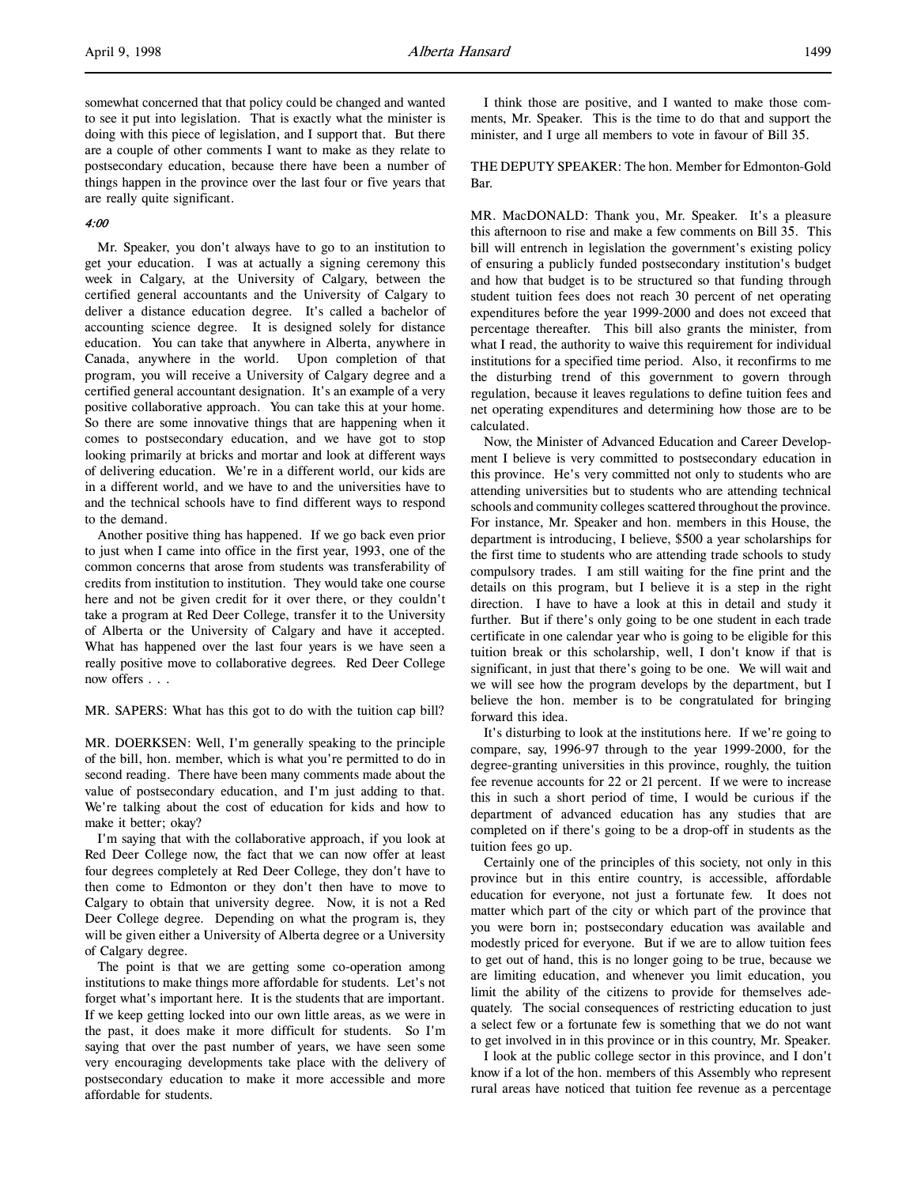somewhat concerned that that policy could be changed and wanted to see it put into legislation. That is exactly what the minister is doing with this piece of legislation, and I support that. But there are a couple of other comments I want to make as they relate to postsecondary education, because there have been a number of things happen in the province over the last four or five years that are really quite significant.

## 4:00

Mr. Speaker, you don't always have to go to an institution to get your education. I was at actually a signing ceremony this week in Calgary, at the University of Calgary, between the certified general accountants and the University of Calgary to deliver a distance education degree. It's called a bachelor of accounting science degree. It is designed solely for distance education. You can take that anywhere in Alberta, anywhere in Canada, anywhere in the world. Upon completion of that program, you will receive a University of Calgary degree and a certified general accountant designation. It's an example of a very positive collaborative approach. You can take this at your home. So there are some innovative things that are happening when it comes to postsecondary education, and we have got to stop looking primarily at bricks and mortar and look at different ways of delivering education. We're in a different world, our kids are in a different world, and we have to and the universities have to and the technical schools have to find different ways to respond to the demand.

Another positive thing has happened. If we go back even prior to just when I came into office in the first year, 1993, one of the common concerns that arose from students was transferability of credits from institution to institution. They would take one course here and not be given credit for it over there, or they couldn't take a program at Red Deer College, transfer it to the University of Alberta or the University of Calgary and have it accepted. What has happened over the last four years is we have seen a really positive move to collaborative degrees. Red Deer College now offers . . .

MR. SAPERS: What has this got to do with the tuition cap bill?

MR. DOERKSEN: Well, I'm generally speaking to the principle of the bill, hon. member, which is what you're permitted to do in second reading. There have been many comments made about the value of postsecondary education, and I'm just adding to that. We're talking about the cost of education for kids and how to make it better; okay?

I'm saying that with the collaborative approach, if you look at Red Deer College now, the fact that we can now offer at least four degrees completely at Red Deer College, they don't have to then come to Edmonton or they don't then have to move to Calgary to obtain that university degree. Now, it is not a Red Deer College degree. Depending on what the program is, they will be given either a University of Alberta degree or a University of Calgary degree.

The point is that we are getting some co-operation among institutions to make things more affordable for students. Let's not forget what's important here. It is the students that are important. If we keep getting locked into our own little areas, as we were in the past, it does make it more difficult for students. So I'm saying that over the past number of years, we have seen some very encouraging developments take place with the delivery of postsecondary education to make it more accessible and more affordable for students.

I think those are positive, and I wanted to make those comments, Mr. Speaker. This is the time to do that and support the minister, and I urge all members to vote in favour of Bill 35.

## THE DEPUTY SPEAKER: The hon. Member for Edmonton-Gold Bar.

MR. MacDONALD: Thank you, Mr. Speaker. It's a pleasure this afternoon to rise and make a few comments on Bill 35. This bill will entrench in legislation the government's existing policy of ensuring a publicly funded postsecondary institution's budget and how that budget is to be structured so that funding through student tuition fees does not reach 30 percent of net operating expenditures before the year 1999-2000 and does not exceed that percentage thereafter. This bill also grants the minister, from what I read, the authority to waive this requirement for individual institutions for a specified time period. Also, it reconfirms to me the disturbing trend of this government to govern through regulation, because it leaves regulations to define tuition fees and net operating expenditures and determining how those are to be calculated.

Now, the Minister of Advanced Education and Career Development I believe is very committed to postsecondary education in this province. He's very committed not only to students who are attending universities but to students who are attending technical schools and community colleges scattered throughout the province. For instance, Mr. Speaker and hon. members in this House, the department is introducing, I believe, \$500 a year scholarships for the first time to students who are attending trade schools to study compulsory trades. I am still waiting for the fine print and the details on this program, but I believe it is a step in the right direction. I have to have a look at this in detail and study it further. But if there's only going to be one student in each trade certificate in one calendar year who is going to be eligible for this tuition break or this scholarship, well, I don't know if that is significant, in just that there's going to be one. We will wait and we will see how the program develops by the department, but I believe the hon. member is to be congratulated for bringing forward this idea.

It's disturbing to look at the institutions here. If we're going to compare, say, 1996-97 through to the year 1999-2000, for the degree-granting universities in this province, roughly, the tuition fee revenue accounts for 22 or 21 percent. If we were to increase this in such a short period of time, I would be curious if the department of advanced education has any studies that are completed on if there's going to be a drop-off in students as the tuition fees go up.

Certainly one of the principles of this society, not only in this province but in this entire country, is accessible, affordable education for everyone, not just a fortunate few. It does not matter which part of the city or which part of the province that you were born in; postsecondary education was available and modestly priced for everyone. But if we are to allow tuition fees to get out of hand, this is no longer going to be true, because we are limiting education, and whenever you limit education, you limit the ability of the citizens to provide for themselves adequately. The social consequences of restricting education to just a select few or a fortunate few is something that we do not want to get involved in in this province or in this country, Mr. Speaker.

I look at the public college sector in this province, and I don't know if a lot of the hon. members of this Assembly who represent rural areas have noticed that tuition fee revenue as a percentage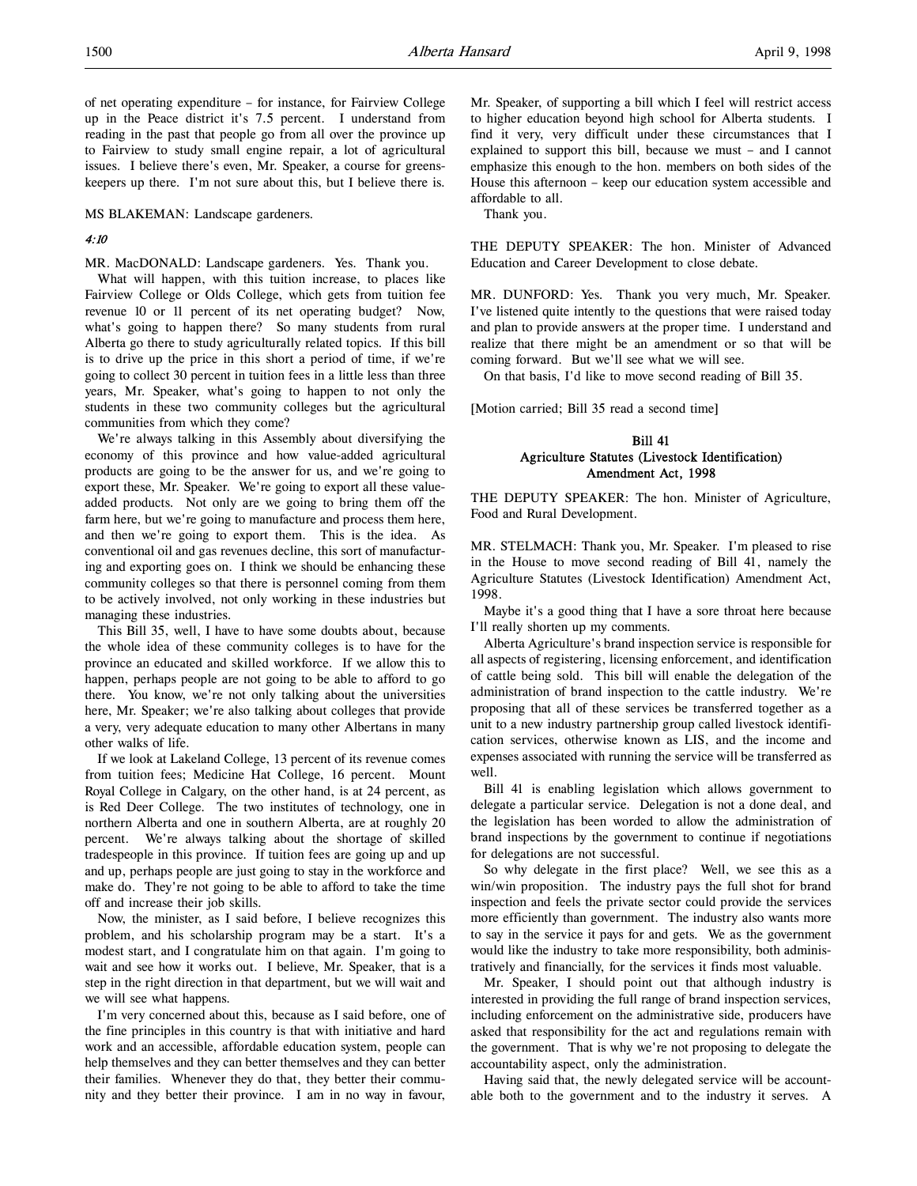MS BLAKEMAN: Landscape gardeners.

## 4:10

MR. MacDONALD: Landscape gardeners. Yes. Thank you.

What will happen, with this tuition increase, to places like Fairview College or Olds College, which gets from tuition fee revenue 10 or 11 percent of its net operating budget? Now, what's going to happen there? So many students from rural Alberta go there to study agriculturally related topics. If this bill is to drive up the price in this short a period of time, if we're going to collect 30 percent in tuition fees in a little less than three years, Mr. Speaker, what's going to happen to not only the students in these two community colleges but the agricultural communities from which they come?

We're always talking in this Assembly about diversifying the economy of this province and how value-added agricultural products are going to be the answer for us, and we're going to export these, Mr. Speaker. We're going to export all these valueadded products. Not only are we going to bring them off the farm here, but we're going to manufacture and process them here, and then we're going to export them. This is the idea. As conventional oil and gas revenues decline, this sort of manufacturing and exporting goes on. I think we should be enhancing these community colleges so that there is personnel coming from them to be actively involved, not only working in these industries but managing these industries.

This Bill 35, well, I have to have some doubts about, because the whole idea of these community colleges is to have for the province an educated and skilled workforce. If we allow this to happen, perhaps people are not going to be able to afford to go there. You know, we're not only talking about the universities here, Mr. Speaker; we're also talking about colleges that provide a very, very adequate education to many other Albertans in many other walks of life.

If we look at Lakeland College, 13 percent of its revenue comes from tuition fees; Medicine Hat College, 16 percent. Mount Royal College in Calgary, on the other hand, is at 24 percent, as is Red Deer College. The two institutes of technology, one in northern Alberta and one in southern Alberta, are at roughly 20 percent. We're always talking about the shortage of skilled tradespeople in this province. If tuition fees are going up and up and up, perhaps people are just going to stay in the workforce and make do. They're not going to be able to afford to take the time off and increase their job skills.

Now, the minister, as I said before, I believe recognizes this problem, and his scholarship program may be a start. It's a modest start, and I congratulate him on that again. I'm going to wait and see how it works out. I believe, Mr. Speaker, that is a step in the right direction in that department, but we will wait and we will see what happens.

I'm very concerned about this, because as I said before, one of the fine principles in this country is that with initiative and hard work and an accessible, affordable education system, people can help themselves and they can better themselves and they can better their families. Whenever they do that, they better their community and they better their province. I am in no way in favour, Mr. Speaker, of supporting a bill which I feel will restrict access to higher education beyond high school for Alberta students. I find it very, very difficult under these circumstances that I explained to support this bill, because we must – and I cannot emphasize this enough to the hon. members on both sides of the House this afternoon – keep our education system accessible and affordable to all.

Thank you.

THE DEPUTY SPEAKER: The hon. Minister of Advanced Education and Career Development to close debate.

MR. DUNFORD: Yes. Thank you very much, Mr. Speaker. I've listened quite intently to the questions that were raised today and plan to provide answers at the proper time. I understand and realize that there might be an amendment or so that will be coming forward. But we'll see what we will see.

On that basis, I'd like to move second reading of Bill 35.

[Motion carried; Bill 35 read a second time]

## Bill 41 Agriculture Statutes (Livestock Identification) Amendment Act, 1998

THE DEPUTY SPEAKER: The hon. Minister of Agriculture, Food and Rural Development.

MR. STELMACH: Thank you, Mr. Speaker. I'm pleased to rise in the House to move second reading of Bill 41, namely the Agriculture Statutes (Livestock Identification) Amendment Act, 1998.

Maybe it's a good thing that I have a sore throat here because I'll really shorten up my comments.

Alberta Agriculture's brand inspection service is responsible for all aspects of registering, licensing enforcement, and identification of cattle being sold. This bill will enable the delegation of the administration of brand inspection to the cattle industry. We're proposing that all of these services be transferred together as a unit to a new industry partnership group called livestock identification services, otherwise known as LIS, and the income and expenses associated with running the service will be transferred as well.

Bill 41 is enabling legislation which allows government to delegate a particular service. Delegation is not a done deal, and the legislation has been worded to allow the administration of brand inspections by the government to continue if negotiations for delegations are not successful.

So why delegate in the first place? Well, we see this as a win/win proposition. The industry pays the full shot for brand inspection and feels the private sector could provide the services more efficiently than government. The industry also wants more to say in the service it pays for and gets. We as the government would like the industry to take more responsibility, both administratively and financially, for the services it finds most valuable.

Mr. Speaker, I should point out that although industry is interested in providing the full range of brand inspection services, including enforcement on the administrative side, producers have asked that responsibility for the act and regulations remain with the government. That is why we're not proposing to delegate the accountability aspect, only the administration.

Having said that, the newly delegated service will be accountable both to the government and to the industry it serves. A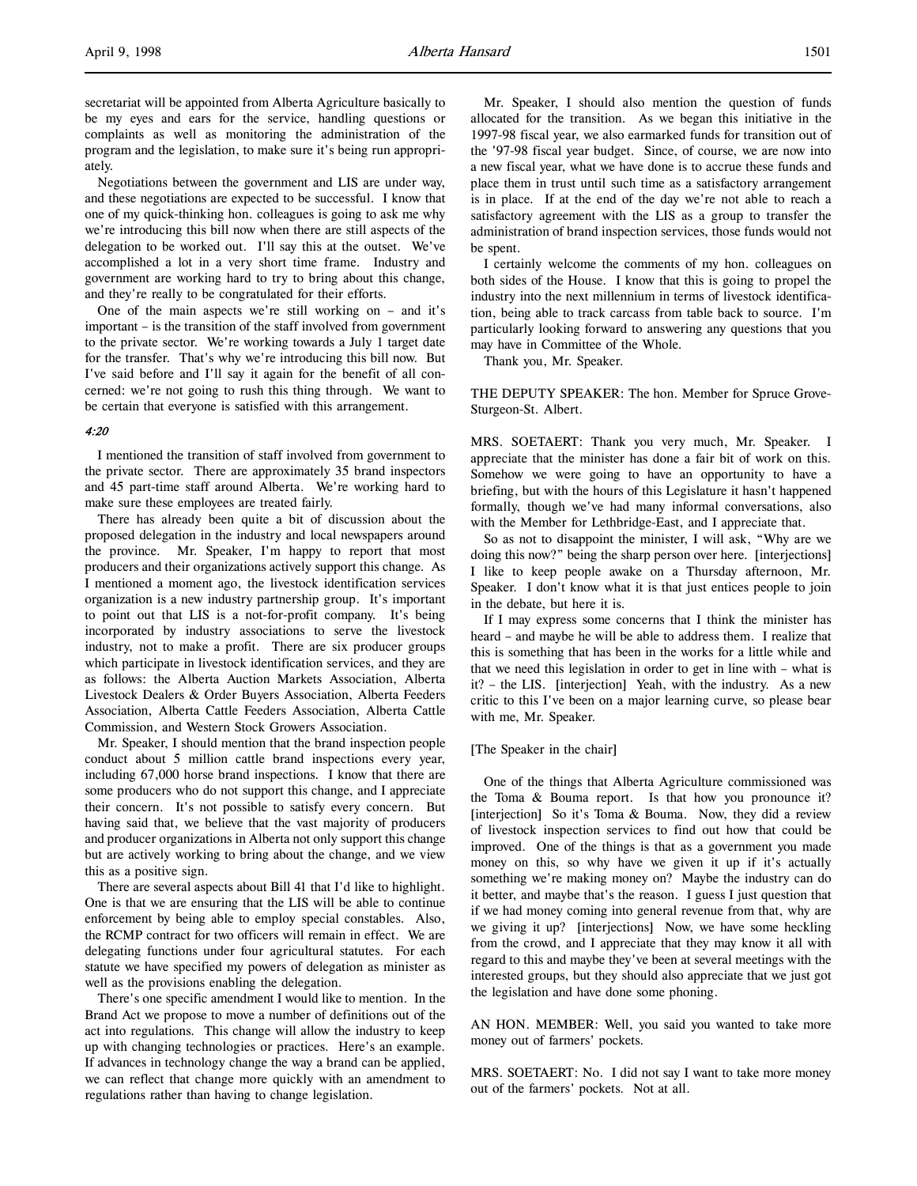secretariat will be appointed from Alberta Agriculture basically to be my eyes and ears for the service, handling questions or complaints as well as monitoring the administration of the program and the legislation, to make sure it's being run appropriately.

Negotiations between the government and LIS are under way, and these negotiations are expected to be successful. I know that one of my quick-thinking hon. colleagues is going to ask me why we're introducing this bill now when there are still aspects of the delegation to be worked out. I'll say this at the outset. We've accomplished a lot in a very short time frame. Industry and government are working hard to try to bring about this change, and they're really to be congratulated for their efforts.

One of the main aspects we're still working on – and it's important – is the transition of the staff involved from government to the private sector. We're working towards a July 1 target date for the transfer. That's why we're introducing this bill now. But I've said before and I'll say it again for the benefit of all concerned: we're not going to rush this thing through. We want to be certain that everyone is satisfied with this arrangement.

#### 4:20

I mentioned the transition of staff involved from government to the private sector. There are approximately 35 brand inspectors and 45 part-time staff around Alberta. We're working hard to make sure these employees are treated fairly.

There has already been quite a bit of discussion about the proposed delegation in the industry and local newspapers around the province. Mr. Speaker, I'm happy to report that most producers and their organizations actively support this change. As I mentioned a moment ago, the livestock identification services organization is a new industry partnership group. It's important to point out that LIS is a not-for-profit company. It's being incorporated by industry associations to serve the livestock industry, not to make a profit. There are six producer groups which participate in livestock identification services, and they are as follows: the Alberta Auction Markets Association, Alberta Livestock Dealers & Order Buyers Association, Alberta Feeders Association, Alberta Cattle Feeders Association, Alberta Cattle Commission, and Western Stock Growers Association.

Mr. Speaker, I should mention that the brand inspection people conduct about 5 million cattle brand inspections every year, including 67,000 horse brand inspections. I know that there are some producers who do not support this change, and I appreciate their concern. It's not possible to satisfy every concern. But having said that, we believe that the vast majority of producers and producer organizations in Alberta not only support this change but are actively working to bring about the change, and we view this as a positive sign.

There are several aspects about Bill 41 that I'd like to highlight. One is that we are ensuring that the LIS will be able to continue enforcement by being able to employ special constables. Also, the RCMP contract for two officers will remain in effect. We are delegating functions under four agricultural statutes. For each statute we have specified my powers of delegation as minister as well as the provisions enabling the delegation.

There's one specific amendment I would like to mention. In the Brand Act we propose to move a number of definitions out of the act into regulations. This change will allow the industry to keep up with changing technologies or practices. Here's an example. If advances in technology change the way a brand can be applied, we can reflect that change more quickly with an amendment to regulations rather than having to change legislation.

Mr. Speaker, I should also mention the question of funds allocated for the transition. As we began this initiative in the 1997-98 fiscal year, we also earmarked funds for transition out of the '97-98 fiscal year budget. Since, of course, we are now into a new fiscal year, what we have done is to accrue these funds and place them in trust until such time as a satisfactory arrangement is in place. If at the end of the day we're not able to reach a satisfactory agreement with the LIS as a group to transfer the administration of brand inspection services, those funds would not be spent.

I certainly welcome the comments of my hon. colleagues on both sides of the House. I know that this is going to propel the industry into the next millennium in terms of livestock identification, being able to track carcass from table back to source. I'm particularly looking forward to answering any questions that you may have in Committee of the Whole.

Thank you, Mr. Speaker.

THE DEPUTY SPEAKER: The hon. Member for Spruce Grove-Sturgeon-St. Albert.

MRS. SOETAERT: Thank you very much, Mr. Speaker. I appreciate that the minister has done a fair bit of work on this. Somehow we were going to have an opportunity to have a briefing, but with the hours of this Legislature it hasn't happened formally, though we've had many informal conversations, also with the Member for Lethbridge-East, and I appreciate that.

So as not to disappoint the minister, I will ask, "Why are we doing this now?" being the sharp person over here. [interjections] I like to keep people awake on a Thursday afternoon, Mr. Speaker. I don't know what it is that just entices people to join in the debate, but here it is.

If I may express some concerns that I think the minister has heard – and maybe he will be able to address them. I realize that this is something that has been in the works for a little while and that we need this legislation in order to get in line with – what is it? – the LIS. [interjection] Yeah, with the industry. As a new critic to this I've been on a major learning curve, so please bear with me, Mr. Speaker.

#### [The Speaker in the chair]

One of the things that Alberta Agriculture commissioned was the Toma & Bouma report. Is that how you pronounce it? [interjection] So it's Toma & Bouma. Now, they did a review of livestock inspection services to find out how that could be improved. One of the things is that as a government you made money on this, so why have we given it up if it's actually something we're making money on? Maybe the industry can do it better, and maybe that's the reason. I guess I just question that if we had money coming into general revenue from that, why are we giving it up? [interjections] Now, we have some heckling from the crowd, and I appreciate that they may know it all with regard to this and maybe they've been at several meetings with the interested groups, but they should also appreciate that we just got the legislation and have done some phoning.

AN HON. MEMBER: Well, you said you wanted to take more money out of farmers' pockets.

MRS. SOETAERT: No. I did not say I want to take more money out of the farmers' pockets. Not at all.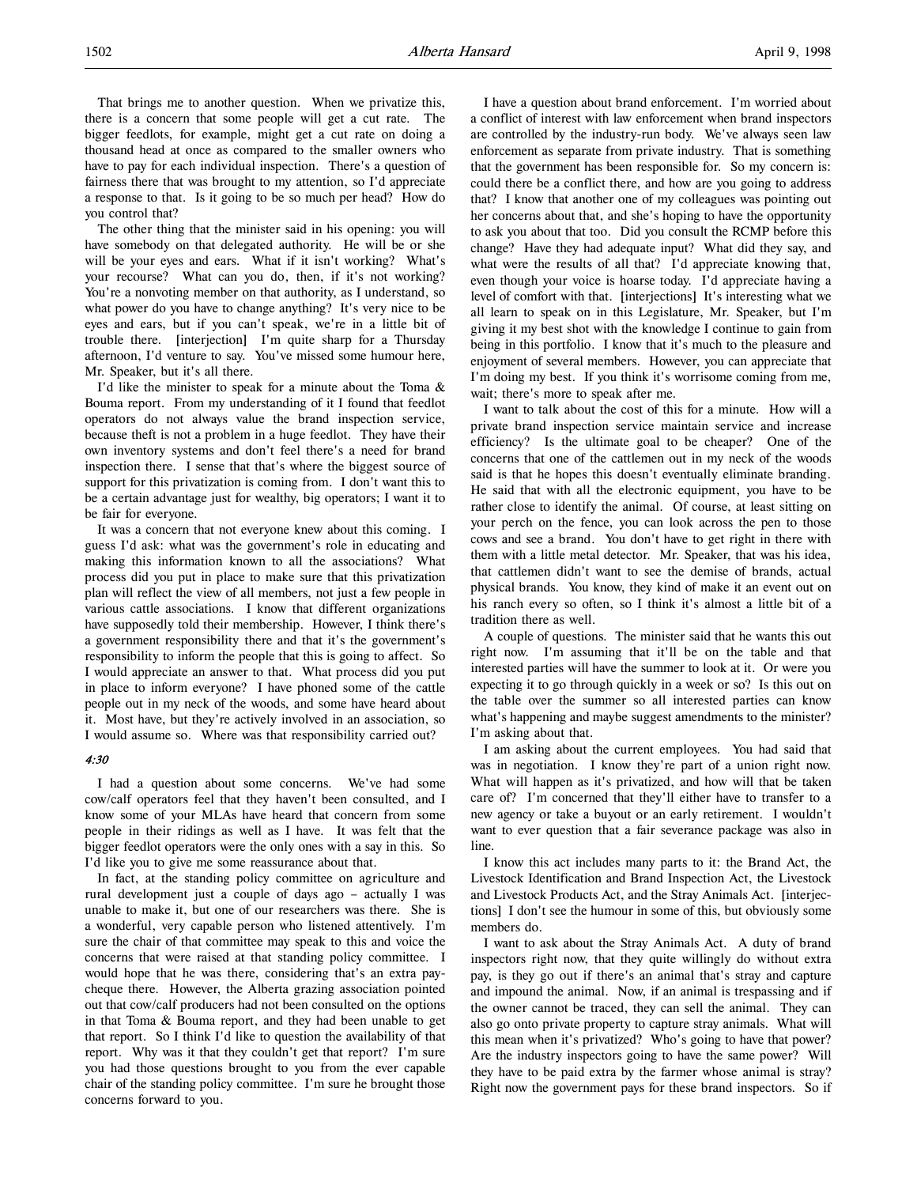That brings me to another question. When we privatize this, there is a concern that some people will get a cut rate. The bigger feedlots, for example, might get a cut rate on doing a thousand head at once as compared to the smaller owners who have to pay for each individual inspection. There's a question of fairness there that was brought to my attention, so I'd appreciate a response to that. Is it going to be so much per head? How do you control that?

The other thing that the minister said in his opening: you will have somebody on that delegated authority. He will be or she will be your eyes and ears. What if it isn't working? What's your recourse? What can you do, then, if it's not working? You're a nonvoting member on that authority, as I understand, so what power do you have to change anything? It's very nice to be eyes and ears, but if you can't speak, we're in a little bit of trouble there. [interjection] I'm quite sharp for a Thursday afternoon, I'd venture to say. You've missed some humour here, Mr. Speaker, but it's all there.

I'd like the minister to speak for a minute about the Toma & Bouma report. From my understanding of it I found that feedlot operators do not always value the brand inspection service, because theft is not a problem in a huge feedlot. They have their own inventory systems and don't feel there's a need for brand inspection there. I sense that that's where the biggest source of support for this privatization is coming from. I don't want this to be a certain advantage just for wealthy, big operators; I want it to be fair for everyone.

It was a concern that not everyone knew about this coming. I guess I'd ask: what was the government's role in educating and making this information known to all the associations? What process did you put in place to make sure that this privatization plan will reflect the view of all members, not just a few people in various cattle associations. I know that different organizations have supposedly told their membership. However, I think there's a government responsibility there and that it's the government's responsibility to inform the people that this is going to affect. So I would appreciate an answer to that. What process did you put in place to inform everyone? I have phoned some of the cattle people out in my neck of the woods, and some have heard about it. Most have, but they're actively involved in an association, so I would assume so. Where was that responsibility carried out?

## 4:30

I had a question about some concerns. We've had some cow/calf operators feel that they haven't been consulted, and I know some of your MLAs have heard that concern from some people in their ridings as well as I have. It was felt that the bigger feedlot operators were the only ones with a say in this. So I'd like you to give me some reassurance about that.

In fact, at the standing policy committee on agriculture and rural development just a couple of days ago – actually I was unable to make it, but one of our researchers was there. She is a wonderful, very capable person who listened attentively. I'm sure the chair of that committee may speak to this and voice the concerns that were raised at that standing policy committee. I would hope that he was there, considering that's an extra paycheque there. However, the Alberta grazing association pointed out that cow/calf producers had not been consulted on the options in that Toma & Bouma report, and they had been unable to get that report. So I think I'd like to question the availability of that report. Why was it that they couldn't get that report? I'm sure you had those questions brought to you from the ever capable chair of the standing policy committee. I'm sure he brought those concerns forward to you.

I have a question about brand enforcement. I'm worried about a conflict of interest with law enforcement when brand inspectors are controlled by the industry-run body. We've always seen law enforcement as separate from private industry. That is something that the government has been responsible for. So my concern is: could there be a conflict there, and how are you going to address that? I know that another one of my colleagues was pointing out her concerns about that, and she's hoping to have the opportunity to ask you about that too. Did you consult the RCMP before this change? Have they had adequate input? What did they say, and what were the results of all that? I'd appreciate knowing that, even though your voice is hoarse today. I'd appreciate having a level of comfort with that. [interjections] It's interesting what we all learn to speak on in this Legislature, Mr. Speaker, but I'm giving it my best shot with the knowledge I continue to gain from being in this portfolio. I know that it's much to the pleasure and enjoyment of several members. However, you can appreciate that I'm doing my best. If you think it's worrisome coming from me, wait; there's more to speak after me.

I want to talk about the cost of this for a minute. How will a private brand inspection service maintain service and increase efficiency? Is the ultimate goal to be cheaper? One of the concerns that one of the cattlemen out in my neck of the woods said is that he hopes this doesn't eventually eliminate branding. He said that with all the electronic equipment, you have to be rather close to identify the animal. Of course, at least sitting on your perch on the fence, you can look across the pen to those cows and see a brand. You don't have to get right in there with them with a little metal detector. Mr. Speaker, that was his idea, that cattlemen didn't want to see the demise of brands, actual physical brands. You know, they kind of make it an event out on his ranch every so often, so I think it's almost a little bit of a tradition there as well.

A couple of questions. The minister said that he wants this out right now. I'm assuming that it'll be on the table and that interested parties will have the summer to look at it. Or were you expecting it to go through quickly in a week or so? Is this out on the table over the summer so all interested parties can know what's happening and maybe suggest amendments to the minister? I'm asking about that.

I am asking about the current employees. You had said that was in negotiation. I know they're part of a union right now. What will happen as it's privatized, and how will that be taken care of? I'm concerned that they'll either have to transfer to a new agency or take a buyout or an early retirement. I wouldn't want to ever question that a fair severance package was also in line.

I know this act includes many parts to it: the Brand Act, the Livestock Identification and Brand Inspection Act, the Livestock and Livestock Products Act, and the Stray Animals Act. [interjections] I don't see the humour in some of this, but obviously some members do.

I want to ask about the Stray Animals Act. A duty of brand inspectors right now, that they quite willingly do without extra pay, is they go out if there's an animal that's stray and capture and impound the animal. Now, if an animal is trespassing and if the owner cannot be traced, they can sell the animal. They can also go onto private property to capture stray animals. What will this mean when it's privatized? Who's going to have that power? Are the industry inspectors going to have the same power? Will they have to be paid extra by the farmer whose animal is stray? Right now the government pays for these brand inspectors. So if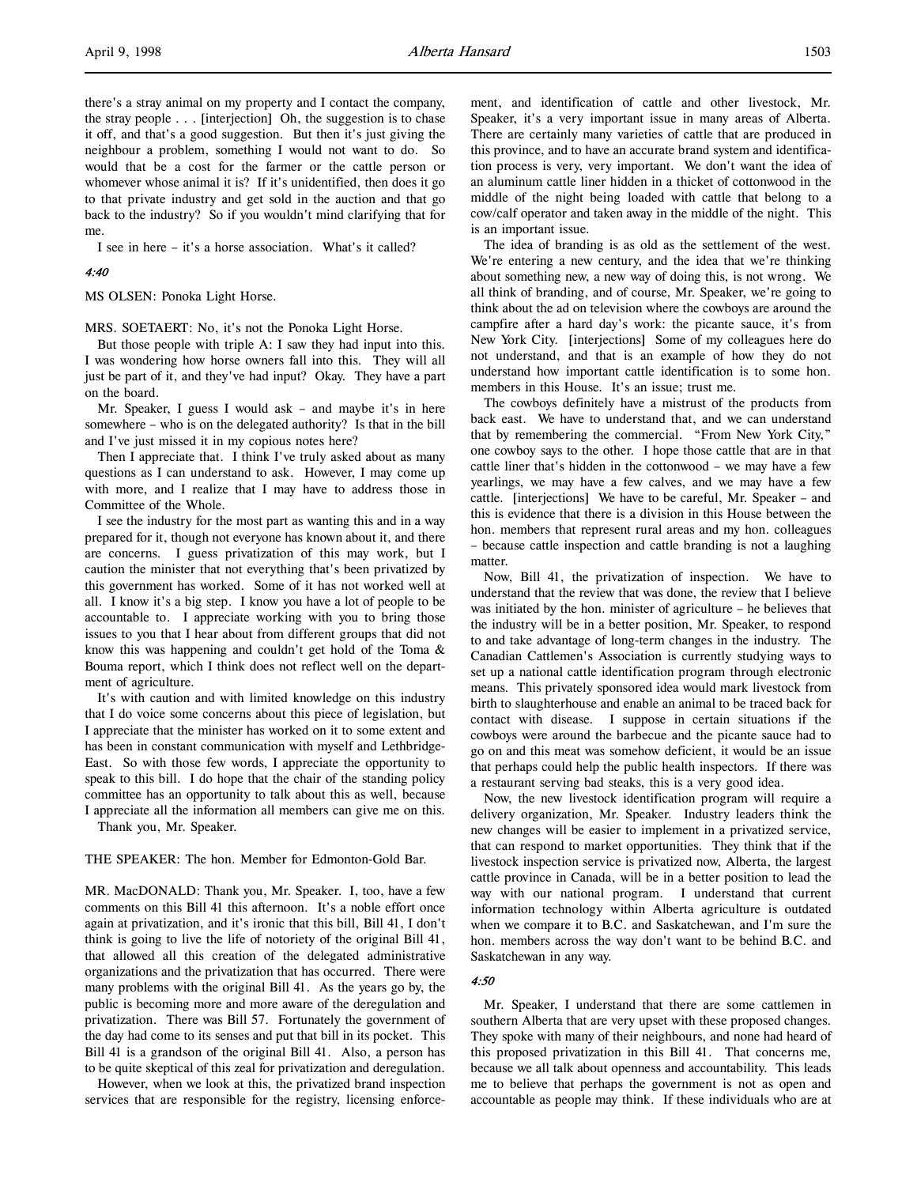there's a stray animal on my property and I contact the company, the stray people . . . [interjection] Oh, the suggestion is to chase it off, and that's a good suggestion. But then it's just giving the neighbour a problem, something I would not want to do. So would that be a cost for the farmer or the cattle person or whomever whose animal it is? If it's unidentified, then does it go to that private industry and get sold in the auction and that go back to the industry? So if you wouldn't mind clarifying that for me.

I see in here – it's a horse association. What's it called?

## 4:40

MS OLSEN: Ponoka Light Horse.

MRS. SOETAERT: No, it's not the Ponoka Light Horse.

But those people with triple A: I saw they had input into this. I was wondering how horse owners fall into this. They will all just be part of it, and they've had input? Okay. They have a part on the board.

Mr. Speaker, I guess I would ask – and maybe it's in here somewhere – who is on the delegated authority? Is that in the bill and I've just missed it in my copious notes here?

Then I appreciate that. I think I've truly asked about as many questions as I can understand to ask. However, I may come up with more, and I realize that I may have to address those in Committee of the Whole.

I see the industry for the most part as wanting this and in a way prepared for it, though not everyone has known about it, and there are concerns. I guess privatization of this may work, but I caution the minister that not everything that's been privatized by this government has worked. Some of it has not worked well at all. I know it's a big step. I know you have a lot of people to be accountable to. I appreciate working with you to bring those issues to you that I hear about from different groups that did not know this was happening and couldn't get hold of the Toma & Bouma report, which I think does not reflect well on the department of agriculture.

It's with caution and with limited knowledge on this industry that I do voice some concerns about this piece of legislation, but I appreciate that the minister has worked on it to some extent and has been in constant communication with myself and Lethbridge-East. So with those few words, I appreciate the opportunity to speak to this bill. I do hope that the chair of the standing policy committee has an opportunity to talk about this as well, because I appreciate all the information all members can give me on this.

Thank you, Mr. Speaker.

## THE SPEAKER: The hon. Member for Edmonton-Gold Bar.

MR. MacDONALD: Thank you, Mr. Speaker. I, too, have a few comments on this Bill 41 this afternoon. It's a noble effort once again at privatization, and it's ironic that this bill, Bill 41, I don't think is going to live the life of notoriety of the original Bill 41, that allowed all this creation of the delegated administrative organizations and the privatization that has occurred. There were many problems with the original Bill 41. As the years go by, the public is becoming more and more aware of the deregulation and privatization. There was Bill 57. Fortunately the government of the day had come to its senses and put that bill in its pocket. This Bill 41 is a grandson of the original Bill 41. Also, a person has to be quite skeptical of this zeal for privatization and deregulation.

However, when we look at this, the privatized brand inspection services that are responsible for the registry, licensing enforcement, and identification of cattle and other livestock, Mr. Speaker, it's a very important issue in many areas of Alberta. There are certainly many varieties of cattle that are produced in this province, and to have an accurate brand system and identification process is very, very important. We don't want the idea of an aluminum cattle liner hidden in a thicket of cottonwood in the middle of the night being loaded with cattle that belong to a cow/calf operator and taken away in the middle of the night. This is an important issue.

The idea of branding is as old as the settlement of the west. We're entering a new century, and the idea that we're thinking about something new, a new way of doing this, is not wrong. We all think of branding, and of course, Mr. Speaker, we're going to think about the ad on television where the cowboys are around the campfire after a hard day's work: the picante sauce, it's from New York City. [interjections] Some of my colleagues here do not understand, and that is an example of how they do not understand how important cattle identification is to some hon. members in this House. It's an issue; trust me.

The cowboys definitely have a mistrust of the products from back east. We have to understand that, and we can understand that by remembering the commercial. "From New York City," one cowboy says to the other. I hope those cattle that are in that cattle liner that's hidden in the cottonwood – we may have a few yearlings, we may have a few calves, and we may have a few cattle. [interjections] We have to be careful, Mr. Speaker – and this is evidence that there is a division in this House between the hon. members that represent rural areas and my hon. colleagues – because cattle inspection and cattle branding is not a laughing matter.

Now, Bill 41, the privatization of inspection. We have to understand that the review that was done, the review that I believe was initiated by the hon. minister of agriculture – he believes that the industry will be in a better position, Mr. Speaker, to respond to and take advantage of long-term changes in the industry. The Canadian Cattlemen's Association is currently studying ways to set up a national cattle identification program through electronic means. This privately sponsored idea would mark livestock from birth to slaughterhouse and enable an animal to be traced back for contact with disease. I suppose in certain situations if the cowboys were around the barbecue and the picante sauce had to go on and this meat was somehow deficient, it would be an issue that perhaps could help the public health inspectors. If there was a restaurant serving bad steaks, this is a very good idea.

Now, the new livestock identification program will require a delivery organization, Mr. Speaker. Industry leaders think the new changes will be easier to implement in a privatized service, that can respond to market opportunities. They think that if the livestock inspection service is privatized now, Alberta, the largest cattle province in Canada, will be in a better position to lead the way with our national program. I understand that current information technology within Alberta agriculture is outdated when we compare it to B.C. and Saskatchewan, and I'm sure the hon. members across the way don't want to be behind B.C. and Saskatchewan in any way.

## 4:50

Mr. Speaker, I understand that there are some cattlemen in southern Alberta that are very upset with these proposed changes. They spoke with many of their neighbours, and none had heard of this proposed privatization in this Bill 41. That concerns me, because we all talk about openness and accountability. This leads me to believe that perhaps the government is not as open and accountable as people may think. If these individuals who are at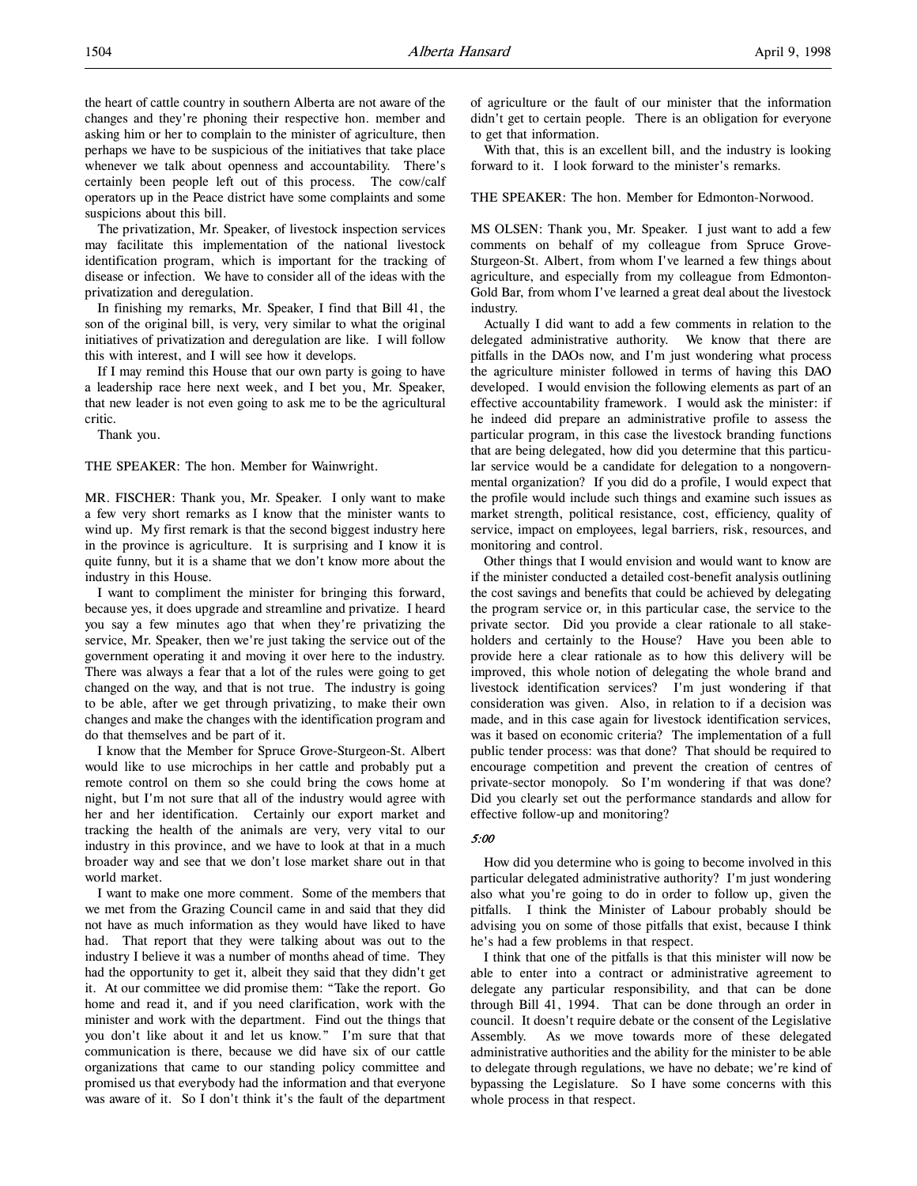the heart of cattle country in southern Alberta are not aware of the changes and they're phoning their respective hon. member and asking him or her to complain to the minister of agriculture, then perhaps we have to be suspicious of the initiatives that take place whenever we talk about openness and accountability. There's certainly been people left out of this process. The cow/calf operators up in the Peace district have some complaints and some suspicions about this bill.

The privatization, Mr. Speaker, of livestock inspection services may facilitate this implementation of the national livestock identification program, which is important for the tracking of disease or infection. We have to consider all of the ideas with the privatization and deregulation.

In finishing my remarks, Mr. Speaker, I find that Bill 41, the son of the original bill, is very, very similar to what the original initiatives of privatization and deregulation are like. I will follow this with interest, and I will see how it develops.

If I may remind this House that our own party is going to have a leadership race here next week, and I bet you, Mr. Speaker, that new leader is not even going to ask me to be the agricultural critic.

Thank you.

THE SPEAKER: The hon. Member for Wainwright.

MR. FISCHER: Thank you, Mr. Speaker. I only want to make a few very short remarks as I know that the minister wants to wind up. My first remark is that the second biggest industry here in the province is agriculture. It is surprising and I know it is quite funny, but it is a shame that we don't know more about the industry in this House.

I want to compliment the minister for bringing this forward, because yes, it does upgrade and streamline and privatize. I heard you say a few minutes ago that when they're privatizing the service, Mr. Speaker, then we're just taking the service out of the government operating it and moving it over here to the industry. There was always a fear that a lot of the rules were going to get changed on the way, and that is not true. The industry is going to be able, after we get through privatizing, to make their own changes and make the changes with the identification program and do that themselves and be part of it.

I know that the Member for Spruce Grove-Sturgeon-St. Albert would like to use microchips in her cattle and probably put a remote control on them so she could bring the cows home at night, but I'm not sure that all of the industry would agree with her and her identification. Certainly our export market and tracking the health of the animals are very, very vital to our industry in this province, and we have to look at that in a much broader way and see that we don't lose market share out in that world market.

I want to make one more comment. Some of the members that we met from the Grazing Council came in and said that they did not have as much information as they would have liked to have had. That report that they were talking about was out to the industry I believe it was a number of months ahead of time. They had the opportunity to get it, albeit they said that they didn't get it. At our committee we did promise them: "Take the report. Go home and read it, and if you need clarification, work with the minister and work with the department. Find out the things that you don't like about it and let us know." I'm sure that that communication is there, because we did have six of our cattle organizations that came to our standing policy committee and promised us that everybody had the information and that everyone was aware of it. So I don't think it's the fault of the department of agriculture or the fault of our minister that the information didn't get to certain people. There is an obligation for everyone to get that information.

With that, this is an excellent bill, and the industry is looking forward to it. I look forward to the minister's remarks.

## THE SPEAKER: The hon. Member for Edmonton-Norwood.

MS OLSEN: Thank you, Mr. Speaker. I just want to add a few comments on behalf of my colleague from Spruce Grove-Sturgeon-St. Albert, from whom I've learned a few things about agriculture, and especially from my colleague from Edmonton-Gold Bar, from whom I've learned a great deal about the livestock industry.

Actually I did want to add a few comments in relation to the delegated administrative authority. We know that there are pitfalls in the DAOs now, and I'm just wondering what process the agriculture minister followed in terms of having this DAO developed. I would envision the following elements as part of an effective accountability framework. I would ask the minister: if he indeed did prepare an administrative profile to assess the particular program, in this case the livestock branding functions that are being delegated, how did you determine that this particular service would be a candidate for delegation to a nongovernmental organization? If you did do a profile, I would expect that the profile would include such things and examine such issues as market strength, political resistance, cost, efficiency, quality of service, impact on employees, legal barriers, risk, resources, and monitoring and control.

Other things that I would envision and would want to know are if the minister conducted a detailed cost-benefit analysis outlining the cost savings and benefits that could be achieved by delegating the program service or, in this particular case, the service to the private sector. Did you provide a clear rationale to all stakeholders and certainly to the House? Have you been able to provide here a clear rationale as to how this delivery will be improved, this whole notion of delegating the whole brand and livestock identification services? I'm just wondering if that consideration was given. Also, in relation to if a decision was made, and in this case again for livestock identification services, was it based on economic criteria? The implementation of a full public tender process: was that done? That should be required to encourage competition and prevent the creation of centres of private-sector monopoly. So I'm wondering if that was done? Did you clearly set out the performance standards and allow for effective follow-up and monitoring?

## 5:00

How did you determine who is going to become involved in this particular delegated administrative authority? I'm just wondering also what you're going to do in order to follow up, given the pitfalls. I think the Minister of Labour probably should be advising you on some of those pitfalls that exist, because I think he's had a few problems in that respect.

I think that one of the pitfalls is that this minister will now be able to enter into a contract or administrative agreement to delegate any particular responsibility, and that can be done through Bill 41, 1994. That can be done through an order in council. It doesn't require debate or the consent of the Legislative Assembly. As we move towards more of these delegated administrative authorities and the ability for the minister to be able to delegate through regulations, we have no debate; we're kind of bypassing the Legislature. So I have some concerns with this whole process in that respect.